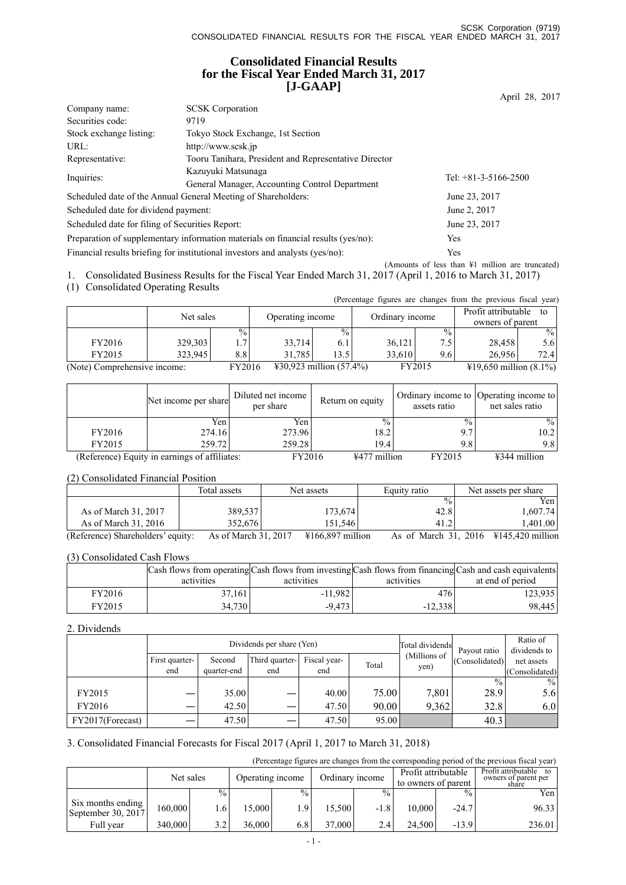# **Consolidated Financial Results for the Fiscal Year Ended March 31, 2017 [J-GAAP]**

|                                                 |                                                                                   | April 28, 2017                                             |
|-------------------------------------------------|-----------------------------------------------------------------------------------|------------------------------------------------------------|
| Company name:                                   | <b>SCSK</b> Corporation                                                           |                                                            |
| Securities code:                                | 9719                                                                              |                                                            |
| Stock exchange listing:                         | Tokyo Stock Exchange, 1st Section                                                 |                                                            |
| URL:                                            | http://www.scsk.jp                                                                |                                                            |
| Representative:                                 | Tooru Tanihara, President and Representative Director                             |                                                            |
| Inquiries:                                      | Kazuvuki Matsunaga                                                                | Tel: $+81-3-5166-2500$                                     |
|                                                 | General Manager, Accounting Control Department                                    |                                                            |
|                                                 | Scheduled date of the Annual General Meeting of Shareholders:                     | June 23, 2017                                              |
| Scheduled date for dividend payment:            |                                                                                   | June 2, 2017                                               |
| Scheduled date for filing of Securities Report: |                                                                                   | June 23, 2017                                              |
|                                                 | Preparation of supplementary information materials on financial results (yes/no): | Yes                                                        |
|                                                 | Financial results briefing for institutional investors and analysts (yes/no):     | <b>Yes</b>                                                 |
|                                                 |                                                                                   | (Amounts of less than $\frac{1}{2}$ million are truncated) |

1. Consolidated Business Results for the Fiscal Year Ended March 31, 2017 (April 1, 2016 to March 31, 2017)

(1) Consolidated Operating Results

|                              |           |               |                                   |                 |        |                 | (Percentage figures are changes from the previous fiscal year) |                  |
|------------------------------|-----------|---------------|-----------------------------------|-----------------|--------|-----------------|----------------------------------------------------------------|------------------|
|                              | Net sales |               |                                   |                 |        |                 | Profit attributable                                            | to               |
|                              |           |               | Operating income                  |                 |        | Ordinary income |                                                                | owners of parent |
|                              |           | $\frac{0}{0}$ |                                   | $\frac{0}{0}$ . |        | $\frac{0}{0}$   |                                                                | $\frac{9}{6}$    |
| FY2016                       | 329,303   | 1.7           | 33.714                            | 6.1             | 36,121 | 7.5             | 28.458                                                         | 5.6              |
| FY2015                       | 323.945   | 8.8           | 31.785                            | 13.5            | 33.610 | 9.6             | 26.956                                                         | 72.4             |
| (Note) Comprehensive income: |           | FY2016        | $\text{\#30.923}$ million (57.4%) |                 |        | FY2015          | $\text{\#19,650}$ million (8.1%)                               |                  |

|        | Net income per share                          | Diluted net income<br>per share | Return on equity            | assets ratio  | Ordinary income to Operating income to<br>net sales ratio |
|--------|-----------------------------------------------|---------------------------------|-----------------------------|---------------|-----------------------------------------------------------|
|        | Yen                                           | Yen                             | $\frac{0}{0}$               | $\frac{0}{0}$ | $\%$                                                      |
| FY2016 | 274.16                                        | 273.96                          | 18.2                        | 9.7           | 10.2                                                      |
| FY2015 | 259.72                                        | 259.28                          | 19.4                        | 9.8           | 9.8                                                       |
|        | (Reference) Equity in earnings of affiliates: | FY2016                          | $\frac{12477}{120}$ million | FY2015        | $\text{\#}344$ million                                    |

## (2) Consolidated Financial Position

|                                   | Total assets         | Net assets         | Equity ratio | Net assets per share                                |
|-----------------------------------|----------------------|--------------------|--------------|-----------------------------------------------------|
|                                   |                      |                    | $\%$         | Yen                                                 |
| As of March 31, 2017              | 389,537              | 173,674            | 42.8         | 1.607.741                                           |
| As of March 31, 2016              | 352.676              | 151.5461           | 41.2         | 1,401.00                                            |
| (Reference) Shareholders' equity: | As of March 31, 2017 | $4166.897$ million |              | As of March 31, 2016 $\frac{1}{2}$ 4145,420 million |

### (3) Consolidated Cash Flows

|        | Cash flows from operating Cash flows from investing Cash flows from financing Cash and cash equivalents |            |            |                  |
|--------|---------------------------------------------------------------------------------------------------------|------------|------------|------------------|
|        | activities                                                                                              | activities | activities | at end of period |
| FY2016 | 37.161                                                                                                  | $-11.982$  | 476        | 123.935          |
| FY2015 | 34,730                                                                                                  | $-9.473$   | $-12,338$  | 98.445           |

### 2. Dividends

|                  |                |             | Dividends per share (Yen) | Total dividends | Payout ratio | Ratio of<br>dividends to |                |                 |
|------------------|----------------|-------------|---------------------------|-----------------|--------------|--------------------------|----------------|-----------------|
|                  | First quarter- | Second      | Third quarter-            | Fiscal year-    | Total        | (Millions of             | (Consolidated) | net assets      |
|                  | end            | quarter-end | end                       | end             |              | yen)                     |                | (Consolidated)  |
|                  |                |             |                           |                 |              |                          | $\frac{0}{0}$  | $\frac{9}{6}$ 1 |
| FY2015           |                | 35.00       |                           | 40.00           | 75.00        | 7,801                    | 28.9           | 5.6             |
| FY2016           |                | 42.50       |                           | 47.50           | 90.00        | 9.362                    | 32.8           | 6.0             |
| FY2017(Forecast) |                | 47.50       |                           | 47.50           | 95.00        |                          | 40.3           |                 |

### 3. Consolidated Financial Forecasts for Fiscal 2017 (April 1, 2017 to March 31, 2018)

(Percentage figures are changes from the corresponding period of the previous fiscal year)

|                                         | Net sales |                 | Operating income |                 | Ordinary income |                 | Profit attributable<br>to owners of parent |               | Profit attributable<br>owners of parent per<br>share |
|-----------------------------------------|-----------|-----------------|------------------|-----------------|-----------------|-----------------|--------------------------------------------|---------------|------------------------------------------------------|
|                                         |           | $\frac{0}{0}$   |                  | $\frac{0}{0}$ . |                 | $\frac{0}{0}$ . |                                            | $\frac{0}{0}$ | Yen l                                                |
| Six months ending<br>September 30, 2017 | 160,000   | .6 <sup>1</sup> | 15.000           | 9۰،             | 15,500          | $-1.8$          | 10.000                                     | $-24.7$       | 96.33                                                |
| Full year                               | 340,000   | າ າ             | 36.000           | 6.8             | 37.000          | 2.4             | 24.500                                     | $-13.9$       | 236.01                                               |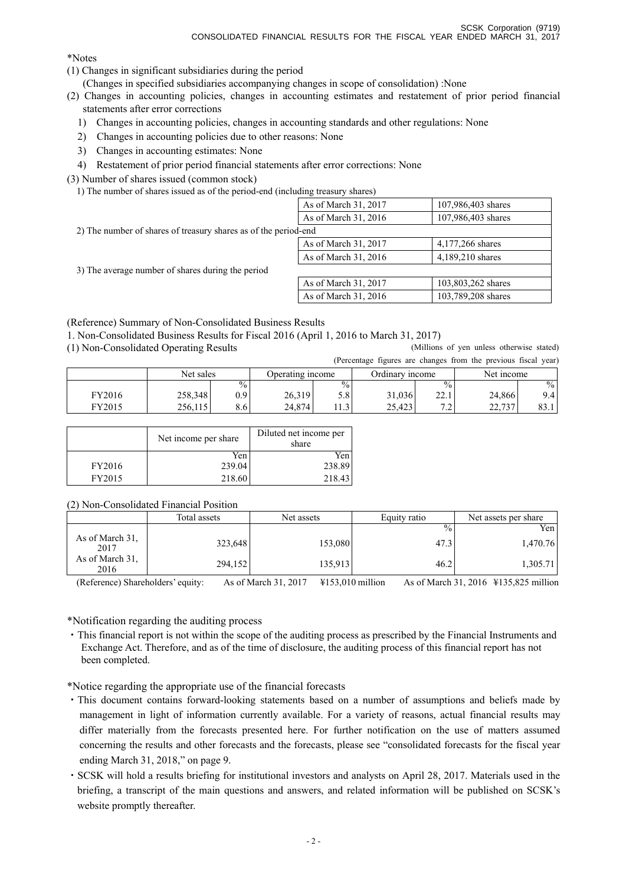\*Notes

- (1) Changes in significant subsidiaries during the period
	- (Changes in specified subsidiaries accompanying changes in scope of consolidation) :None
- (2) Changes in accounting policies, changes in accounting estimates and restatement of prior period financial statements after error corrections
	- 1) Changes in accounting policies, changes in accounting standards and other regulations: None
	- 2) Changes in accounting policies due to other reasons: None
	- 3) Changes in accounting estimates: None
- 4) Restatement of prior period financial statements after error corrections: None

(3) Number of shares issued (common stock)

1) The number of shares issued as of the period-end (including treasury shares)

|                                                                 | As of March 31, 2017 | 107,986,403 shares |
|-----------------------------------------------------------------|----------------------|--------------------|
|                                                                 | As of March 31, 2016 | 107,986,403 shares |
| 2) The number of shares of treasury shares as of the period-end |                      |                    |
|                                                                 | As of March 31, 2017 | 4,177,266 shares   |
|                                                                 | As of March 31, 2016 | 4,189,210 shares   |
| 3) The average number of shares during the period               |                      |                    |
|                                                                 | As of March 31, 2017 | 103,803,262 shares |
|                                                                 | As of March 31, 2016 | 103,789,208 shares |

(Reference) Summary of Non-Consolidated Business Results

1. Non-Consolidated Business Results for Fiscal 2016 (April 1, 2016 to March 31, 2017)

(1) Non-Consolidated Operating Results (Millions of yen unless otherwise stated)

|        |           |               |                  |      |                 |                                            | (Percentage figures are changes from the previous fiscal year) |               |
|--------|-----------|---------------|------------------|------|-----------------|--------------------------------------------|----------------------------------------------------------------|---------------|
|        | Net sales |               | Operating income |      | Ordinary income |                                            | Net income                                                     |               |
|        |           | $\frac{0}{0}$ |                  | $\%$ |                 | $\frac{0}{0}$ .                            |                                                                | $\frac{0}{0}$ |
| FY2016 | 258,348   | 0.91          | 26.319           | 5.8  | 31,036          | 221<br>44.1                                | 24.866                                                         | 9.4           |
| FY2015 | 256.115   | 8.61          | 24.874           | 1.3  | 25.423          | 7 <sub>2</sub><br>$\overline{\phantom{a}}$ | 22.737                                                         | 83.1          |

|        | Net income per share | Diluted net income per<br>share |
|--------|----------------------|---------------------------------|
|        | Yen                  | Yen                             |
| FY2016 | 239.04               | 238.89                          |
| FY2015 | 218.60               | 218.43                          |

(2) Non-Consolidated Financial Position

|                         | Total assets | Net assets | Equity ratio  | Net assets per share |
|-------------------------|--------------|------------|---------------|----------------------|
|                         |              |            | $\frac{0}{0}$ | Yen                  |
| As of March 31,<br>2017 | 323,648      | 153,080    | 47.3          | 1,470.76             |
| As of March 31,<br>2016 | 294,152      | 135,913    | 46.2          | 1,305.71             |

(Reference) Shareholders' equity: As of March 31, 2017 ¥153,010 million As of March 31, 2016 ¥135,825 million

\*Notification regarding the auditing process

・This financial report is not within the scope of the auditing process as prescribed by the Financial Instruments and Exchange Act. Therefore, and as of the time of disclosure, the auditing process of this financial report has not been completed.

\*Notice regarding the appropriate use of the financial forecasts

- ・This document contains forward-looking statements based on a number of assumptions and beliefs made by management in light of information currently available. For a variety of reasons, actual financial results may differ materially from the forecasts presented here. For further notification on the use of matters assumed concerning the results and other forecasts and the forecasts, please see "consolidated forecasts for the fiscal year ending March 31, 2018," on page 9.
- ・SCSK will hold a results briefing for institutional investors and analysts on April 28, 2017. Materials used in the briefing, a transcript of the main questions and answers, and related information will be published on SCSK's website promptly thereafter.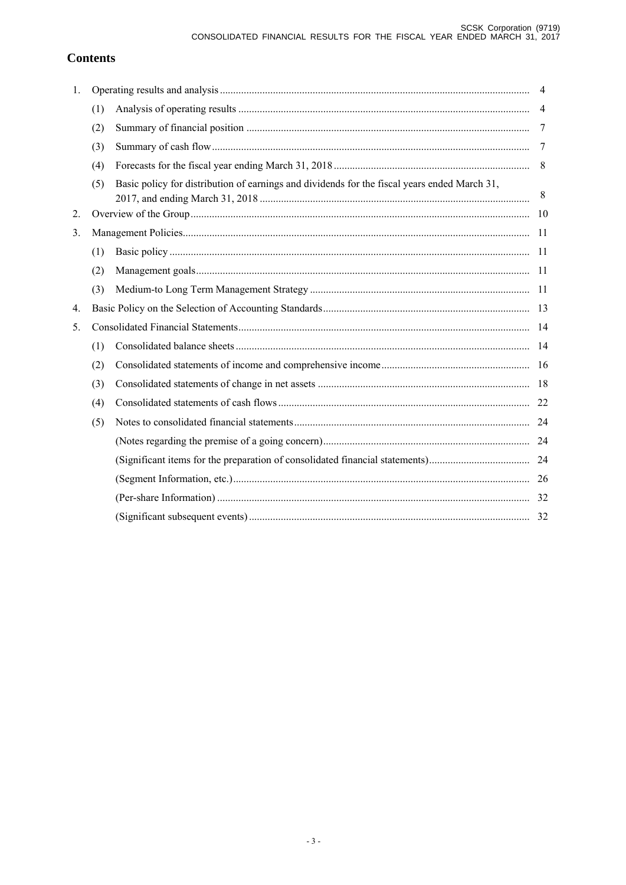# **Contents**

| 1. |     |                                                                                              | $\overline{4}$ |
|----|-----|----------------------------------------------------------------------------------------------|----------------|
|    | (1) |                                                                                              | $\overline{4}$ |
|    | (2) |                                                                                              | 7              |
|    | (3) |                                                                                              | -7             |
|    | (4) |                                                                                              | 8              |
|    | (5) | Basic policy for distribution of earnings and dividends for the fiscal years ended March 31, | 8              |
| 2. |     |                                                                                              |                |
| 3. |     |                                                                                              |                |
|    | (1) |                                                                                              |                |
|    | (2) |                                                                                              |                |
|    | (3) |                                                                                              |                |
| 4. |     |                                                                                              |                |
| 5. |     |                                                                                              |                |
|    | (1) |                                                                                              |                |
|    | (2) |                                                                                              |                |
|    | (3) |                                                                                              |                |
|    | (4) |                                                                                              |                |
|    | (5) |                                                                                              |                |
|    |     |                                                                                              |                |
|    |     |                                                                                              |                |
|    |     |                                                                                              |                |
|    |     |                                                                                              |                |
|    |     |                                                                                              |                |
|    |     |                                                                                              |                |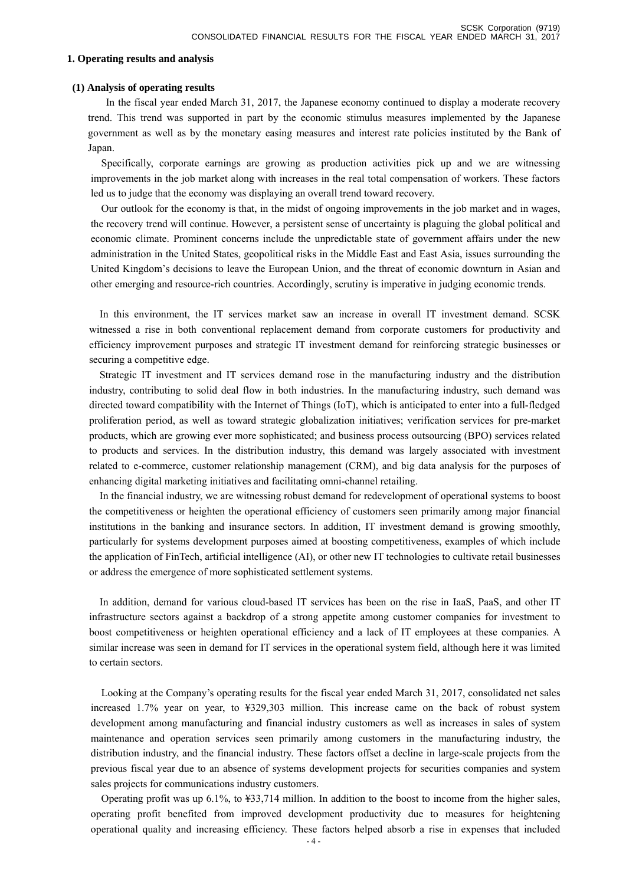#### **1. Operating results and analysis**

#### **(1) Analysis of operating results**

In the fiscal year ended March 31, 2017, the Japanese economy continued to display a moderate recovery trend. This trend was supported in part by the economic stimulus measures implemented by the Japanese government as well as by the monetary easing measures and interest rate policies instituted by the Bank of Japan.

Specifically, corporate earnings are growing as production activities pick up and we are witnessing improvements in the job market along with increases in the real total compensation of workers. These factors led us to judge that the economy was displaying an overall trend toward recovery.

Our outlook for the economy is that, in the midst of ongoing improvements in the job market and in wages, the recovery trend will continue. However, a persistent sense of uncertainty is plaguing the global political and economic climate. Prominent concerns include the unpredictable state of government affairs under the new administration in the United States, geopolitical risks in the Middle East and East Asia, issues surrounding the United Kingdom's decisions to leave the European Union, and the threat of economic downturn in Asian and other emerging and resource-rich countries. Accordingly, scrutiny is imperative in judging economic trends.

In this environment, the IT services market saw an increase in overall IT investment demand. SCSK witnessed a rise in both conventional replacement demand from corporate customers for productivity and efficiency improvement purposes and strategic IT investment demand for reinforcing strategic businesses or securing a competitive edge.

Strategic IT investment and IT services demand rose in the manufacturing industry and the distribution industry, contributing to solid deal flow in both industries. In the manufacturing industry, such demand was directed toward compatibility with the Internet of Things (IoT), which is anticipated to enter into a full-fledged proliferation period, as well as toward strategic globalization initiatives; verification services for pre-market products, which are growing ever more sophisticated; and business process outsourcing (BPO) services related to products and services. In the distribution industry, this demand was largely associated with investment related to e-commerce, customer relationship management (CRM), and big data analysis for the purposes of enhancing digital marketing initiatives and facilitating omni-channel retailing.

In the financial industry, we are witnessing robust demand for redevelopment of operational systems to boost the competitiveness or heighten the operational efficiency of customers seen primarily among major financial institutions in the banking and insurance sectors. In addition, IT investment demand is growing smoothly, particularly for systems development purposes aimed at boosting competitiveness, examples of which include the application of FinTech, artificial intelligence (AI), or other new IT technologies to cultivate retail businesses or address the emergence of more sophisticated settlement systems.

In addition, demand for various cloud-based IT services has been on the rise in IaaS, PaaS, and other IT infrastructure sectors against a backdrop of a strong appetite among customer companies for investment to boost competitiveness or heighten operational efficiency and a lack of IT employees at these companies. A similar increase was seen in demand for IT services in the operational system field, although here it was limited to certain sectors.

Looking at the Company's operating results for the fiscal year ended March 31, 2017, consolidated net sales increased 1.7% year on year, to ¥329,303 million. This increase came on the back of robust system development among manufacturing and financial industry customers as well as increases in sales of system maintenance and operation services seen primarily among customers in the manufacturing industry, the distribution industry, and the financial industry. These factors offset a decline in large-scale projects from the previous fiscal year due to an absence of systems development projects for securities companies and system sales projects for communications industry customers.

Operating profit was up 6.1%, to ¥33,714 million. In addition to the boost to income from the higher sales, operating profit benefited from improved development productivity due to measures for heightening operational quality and increasing efficiency. These factors helped absorb a rise in expenses that included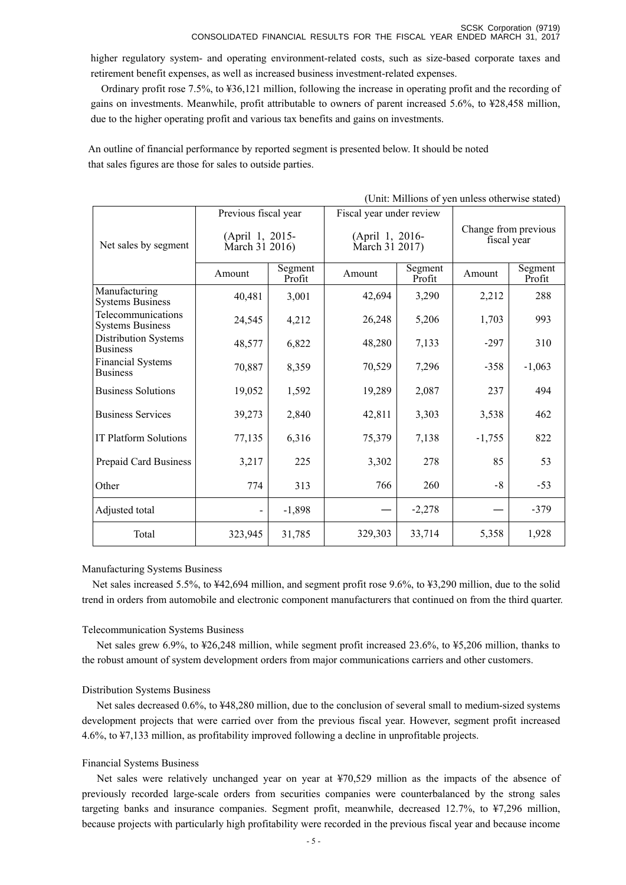higher regulatory system- and operating environment-related costs, such as size-based corporate taxes and retirement benefit expenses, as well as increased business investment-related expenses.

Ordinary profit rose 7.5%, to ¥36,121 million, following the increase in operating profit and the recording of gains on investments. Meanwhile, profit attributable to owners of parent increased 5.6%, to ¥28,458 million, due to the higher operating profit and various tax benefits and gains on investments.

 An outline of financial performance by reported segment is presented below. It should be noted that sales figures are those for sales to outside parties.

|                                                | Previous fiscal year              |                   | Fiscal year under review          |                   |                                     |                   |  |
|------------------------------------------------|-----------------------------------|-------------------|-----------------------------------|-------------------|-------------------------------------|-------------------|--|
| Net sales by segment                           | (April 1, 2015-<br>March 31 2016) |                   | (April 1, 2016-<br>March 31 2017) |                   | Change from previous<br>fiscal year |                   |  |
|                                                | Amount                            | Segment<br>Profit | Amount                            | Segment<br>Profit | Amount                              | Segment<br>Profit |  |
| Manufacturing<br><b>Systems Business</b>       | 40,481                            | 3,001             | 42,694                            | 3,290             | 2,212                               | 288               |  |
| Telecommunications<br><b>Systems Business</b>  | 24,545                            | 4,212             | 26,248                            | 5,206             | 1,703                               | 993               |  |
| <b>Distribution Systems</b><br><b>Business</b> | 48,577                            | 6,822             | 48,280                            | 7,133             | $-297$                              | 310               |  |
| <b>Financial Systems</b><br><b>Business</b>    | 70,887                            | 8,359             | 70,529                            | 7,296             | $-358$                              | $-1,063$          |  |
| <b>Business Solutions</b>                      | 19,052                            | 1,592             | 19,289                            | 2,087             | 237                                 | 494               |  |
| <b>Business Services</b>                       | 39,273                            | 2,840             | 42,811                            | 3,303             | 3,538                               | 462               |  |
| <b>IT Platform Solutions</b>                   | 77,135                            | 6,316             | 75,379                            | 7,138             | $-1,755$                            | 822               |  |
| Prepaid Card Business                          | 3,217                             | 225               | 3,302                             | 278               | 85                                  | 53                |  |
| Other                                          | 774                               | 313               | 766                               | 260               | $-8$                                | $-53$             |  |
| Adjusted total                                 | $\blacksquare$                    | $-1,898$          |                                   | $-2,278$          |                                     | $-379$            |  |
| Total                                          | 323,945                           | 31,785            | 329,303                           | 33,714            | 5,358                               | 1,928             |  |

(Unit: Millions of yen unless otherwise stated)

### Manufacturing Systems Business

Net sales increased 5.5%, to ¥42,694 million, and segment profit rose 9.6%, to ¥3,290 million, due to the solid trend in orders from automobile and electronic component manufacturers that continued on from the third quarter.

### Telecommunication Systems Business

Net sales grew 6.9%, to ¥26,248 million, while segment profit increased 23.6%, to ¥5,206 million, thanks to the robust amount of system development orders from major communications carriers and other customers.

### Distribution Systems Business

Net sales decreased 0.6%, to ¥48,280 million, due to the conclusion of several small to medium-sized systems development projects that were carried over from the previous fiscal year. However, segment profit increased 4.6%, to ¥7,133 million, as profitability improved following a decline in unprofitable projects.

### Financial Systems Business

Net sales were relatively unchanged year on year at ¥70,529 million as the impacts of the absence of previously recorded large-scale orders from securities companies were counterbalanced by the strong sales targeting banks and insurance companies. Segment profit, meanwhile, decreased 12.7%, to ¥7,296 million, because projects with particularly high profitability were recorded in the previous fiscal year and because income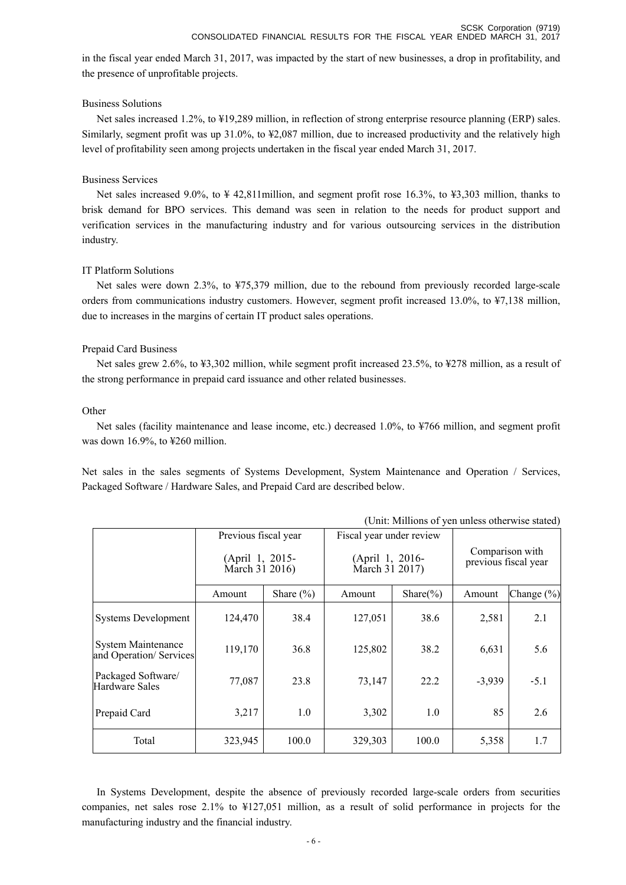in the fiscal year ended March 31, 2017, was impacted by the start of new businesses, a drop in profitability, and the presence of unprofitable projects.

## Business Solutions

Net sales increased 1.2%, to ¥19,289 million, in reflection of strong enterprise resource planning (ERP) sales. Similarly, segment profit was up 31.0%, to ¥2,087 million, due to increased productivity and the relatively high level of profitability seen among projects undertaken in the fiscal year ended March 31, 2017.

## Business Services

Net sales increased 9.0%, to ¥ 42,811million, and segment profit rose 16.3%, to ¥3,303 million, thanks to brisk demand for BPO services. This demand was seen in relation to the needs for product support and verification services in the manufacturing industry and for various outsourcing services in the distribution industry.

# IT Platform Solutions

Net sales were down 2.3%, to ¥75,379 million, due to the rebound from previously recorded large-scale orders from communications industry customers. However, segment profit increased 13.0%, to ¥7,138 million, due to increases in the margins of certain IT product sales operations.

# Prepaid Card Business

Net sales grew 2.6%, to ¥3,302 million, while segment profit increased 23.5%, to ¥278 million, as a result of the strong performance in prepaid card issuance and other related businesses.

## **Other**

Net sales (facility maintenance and lease income, etc.) decreased 1.0%, to ¥766 million, and segment profit was down 16.9%, to ¥260 million.

Net sales in the sales segments of Systems Development, System Maintenance and Operation / Services, Packaged Software / Hardware Sales, and Prepaid Card are described below.

| Previous fiscal year                                 |                                   | Fiscal year under review |                                   |               |                                         |            |
|------------------------------------------------------|-----------------------------------|--------------------------|-----------------------------------|---------------|-----------------------------------------|------------|
|                                                      | (April 1, 2015-<br>March 31 2016) |                          | (April 1, 2016-<br>March 31 2017) |               | Comparison with<br>previous fiscal year |            |
|                                                      | Amount                            | Share $(\% )$            | Amount                            | Share $(\% )$ | Amount                                  | Change (%) |
| <b>Systems Development</b>                           | 124,470                           | 38.4                     | 127,051                           | 38.6          | 2,581                                   | 2.1        |
| <b>System Maintenance</b><br>and Operation/ Services | 119,170                           | 36.8                     | 125,802                           | 38.2          | 6,631                                   | 5.6        |
| Packaged Software/<br>Hardware Sales                 | 77,087                            | 23.8                     | 73,147                            | 22.2          | $-3,939$                                | $-5.1$     |
| Prepaid Card                                         | 3,217                             | 1.0                      | 3,302                             | 1.0           | 85                                      | 2.6        |
| Total                                                | 323,945                           | 100.0                    | 329,303                           | 100.0         | 5,358                                   | 1.7        |

(Unit: Millions of yen unless otherwise stated)

In Systems Development, despite the absence of previously recorded large-scale orders from securities companies, net sales rose 2.1% to ¥127,051 million, as a result of solid performance in projects for the manufacturing industry and the financial industry.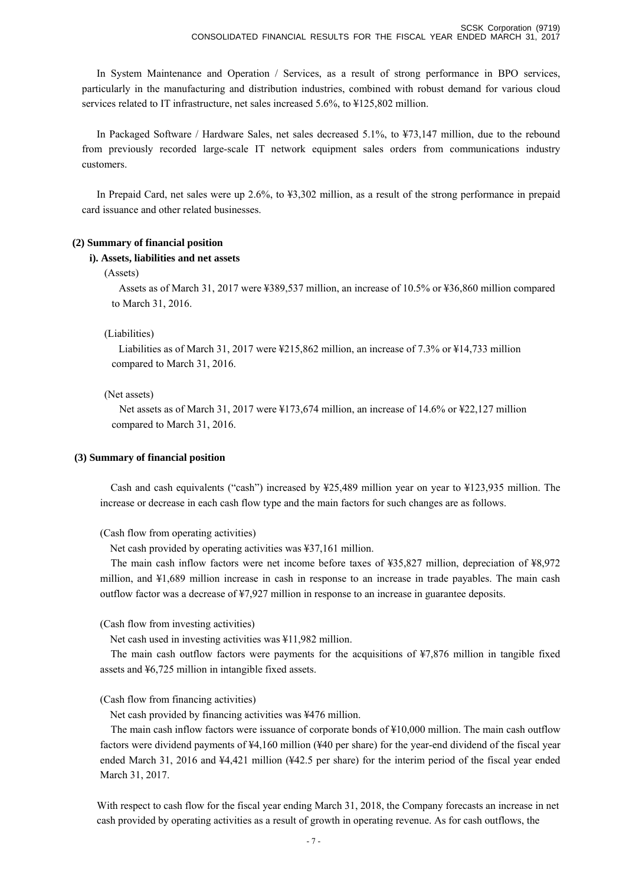In System Maintenance and Operation / Services, as a result of strong performance in BPO services, particularly in the manufacturing and distribution industries, combined with robust demand for various cloud services related to IT infrastructure, net sales increased 5.6%, to ¥125,802 million.

In Packaged Software / Hardware Sales, net sales decreased 5.1%, to ¥73,147 million, due to the rebound from previously recorded large-scale IT network equipment sales orders from communications industry customers.

In Prepaid Card, net sales were up 2.6%, to ¥3,302 million, as a result of the strong performance in prepaid card issuance and other related businesses.

### **(2) Summary of financial position**

### **i). Assets, liabilities and net assets**

### (Assets)

Assets as of March 31, 2017 were ¥389,537 million, an increase of 10.5% or ¥36,860 million compared to March 31, 2016.

### (Liabilities)

Liabilities as of March 31, 2017 were ¥215,862 million, an increase of 7.3% or ¥14,733 million compared to March 31, 2016.

### (Net assets)

Net assets as of March 31, 2017 were ¥173,674 million, an increase of 14.6% or ¥22,127 million compared to March 31, 2016.

### **(3) Summary of financial position**

Cash and cash equivalents ("cash") increased by ¥25,489 million year on year to ¥123,935 million. The increase or decrease in each cash flow type and the main factors for such changes are as follows.

(Cash flow from operating activities)

Net cash provided by operating activities was ¥37,161 million.

The main cash inflow factors were net income before taxes of ¥35,827 million, depreciation of ¥8,972 million, and ¥1,689 million increase in cash in response to an increase in trade payables. The main cash outflow factor was a decrease of ¥7,927 million in response to an increase in guarantee deposits.

(Cash flow from investing activities)

Net cash used in investing activities was ¥11,982 million.

The main cash outflow factors were payments for the acquisitions of ¥7,876 million in tangible fixed assets and ¥6,725 million in intangible fixed assets.

(Cash flow from financing activities)

Net cash provided by financing activities was ¥476 million.

The main cash inflow factors were issuance of corporate bonds of ¥10,000 million. The main cash outflow factors were dividend payments of ¥4,160 million (¥40 per share) for the year-end dividend of the fiscal year ended March 31, 2016 and ¥4,421 million (¥42.5 per share) for the interim period of the fiscal year ended March 31, 2017.

With respect to cash flow for the fiscal year ending March 31, 2018, the Company forecasts an increase in net cash provided by operating activities as a result of growth in operating revenue. As for cash outflows, the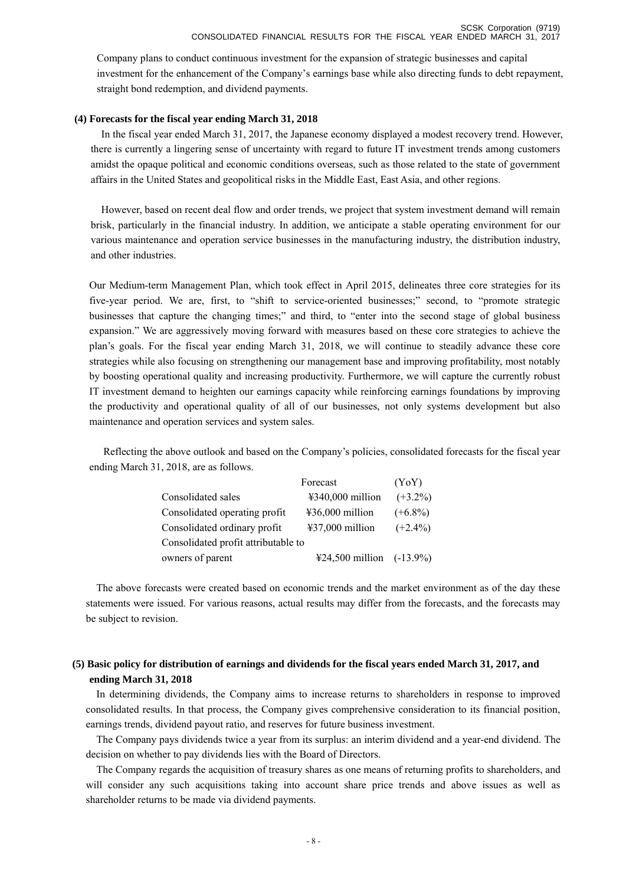Company plans to conduct continuous investment for the expansion of strategic businesses and capital investment for the enhancement of the Company's earnings base while also directing funds to debt repayment, straight bond redemption, and dividend payments.

### **(4) Forecasts for the fiscal year ending March 31, 2018**

In the fiscal year ended March 31, 2017, the Japanese economy displayed a modest recovery trend. However, there is currently a lingering sense of uncertainty with regard to future IT investment trends among customers amidst the opaque political and economic conditions overseas, such as those related to the state of government affairs in the United States and geopolitical risks in the Middle East, East Asia, and other regions.

However, based on recent deal flow and order trends, we project that system investment demand will remain brisk, particularly in the financial industry. In addition, we anticipate a stable operating environment for our various maintenance and operation service businesses in the manufacturing industry, the distribution industry, and other industries.

Our Medium-term Management Plan, which took effect in April 2015, delineates three core strategies for its five-year period. We are, first, to "shift to service-oriented businesses;" second, to "promote strategic businesses that capture the changing times;" and third, to "enter into the second stage of global business expansion." We are aggressively moving forward with measures based on these core strategies to achieve the plan's goals. For the fiscal year ending March 31, 2018, we will continue to steadily advance these core strategies while also focusing on strengthening our management base and improving profitability, most notably by boosting operational quality and increasing productivity. Furthermore, we will capture the currently robust IT investment demand to heighten our earnings capacity while reinforcing earnings foundations by improving the productivity and operational quality of all of our businesses, not only systems development but also maintenance and operation services and system sales.

Reflecting the above outlook and based on the Company's policies, consolidated forecasts for the fiscal year ending March 31, 2018, are as follows.

|                                     | Forecast                              | (YoY)      |
|-------------------------------------|---------------------------------------|------------|
| Consolidated sales                  | $\text{\textsterling}340,000$ million | $(+3.2\%)$ |
| Consolidated operating profit       | $436,000$ million                     | $(+6.8\%)$ |
| Consolidated ordinary profit        | $\text{\#37,000}$ million             | $(+2.4\%)$ |
| Consolidated profit attributable to |                                       |            |
| owners of parent                    | $\text{\#24,500}$ million (-13.9%)    |            |

The above forecasts were created based on economic trends and the market environment as of the day these statements were issued. For various reasons, actual results may differ from the forecasts, and the forecasts may be subject to revision.

# **(5) Basic policy for distribution of earnings and dividends for the fiscal years ended March 31, 2017, and ending March 31, 2018**

In determining dividends, the Company aims to increase returns to shareholders in response to improved consolidated results. In that process, the Company gives comprehensive consideration to its financial position, earnings trends, dividend payout ratio, and reserves for future business investment.

The Company pays dividends twice a year from its surplus: an interim dividend and a year-end dividend. The decision on whether to pay dividends lies with the Board of Directors.

The Company regards the acquisition of treasury shares as one means of returning profits to shareholders, and will consider any such acquisitions taking into account share price trends and above issues as well as shareholder returns to be made via dividend payments.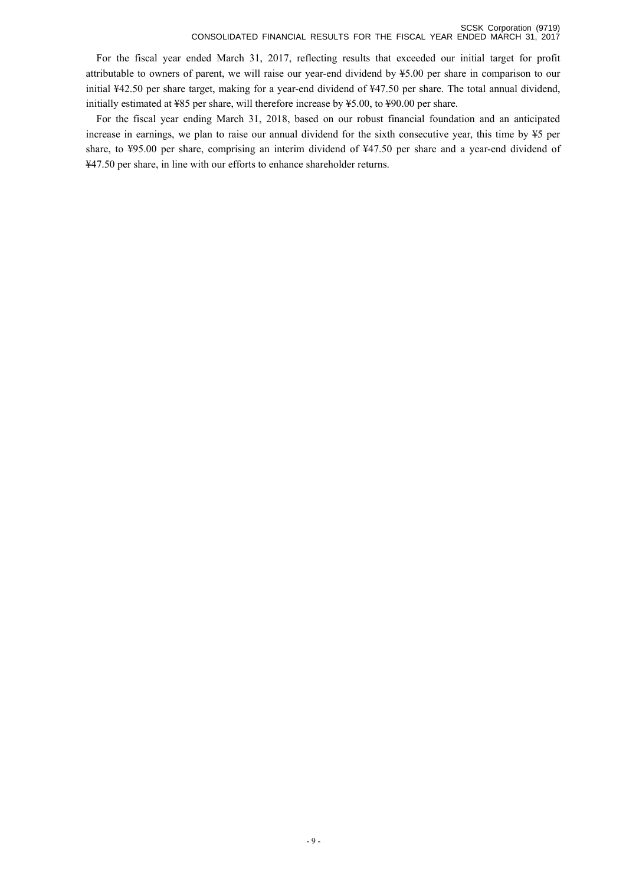For the fiscal year ended March 31, 2017, reflecting results that exceeded our initial target for profit attributable to owners of parent, we will raise our year-end dividend by ¥5.00 per share in comparison to our initial ¥42.50 per share target, making for a year-end dividend of ¥47.50 per share. The total annual dividend, initially estimated at ¥85 per share, will therefore increase by ¥5.00, to ¥90.00 per share.

For the fiscal year ending March 31, 2018, based on our robust financial foundation and an anticipated increase in earnings, we plan to raise our annual dividend for the sixth consecutive year, this time by ¥5 per share, to ¥95.00 per share, comprising an interim dividend of ¥47.50 per share and a year-end dividend of ¥47.50 per share, in line with our efforts to enhance shareholder returns.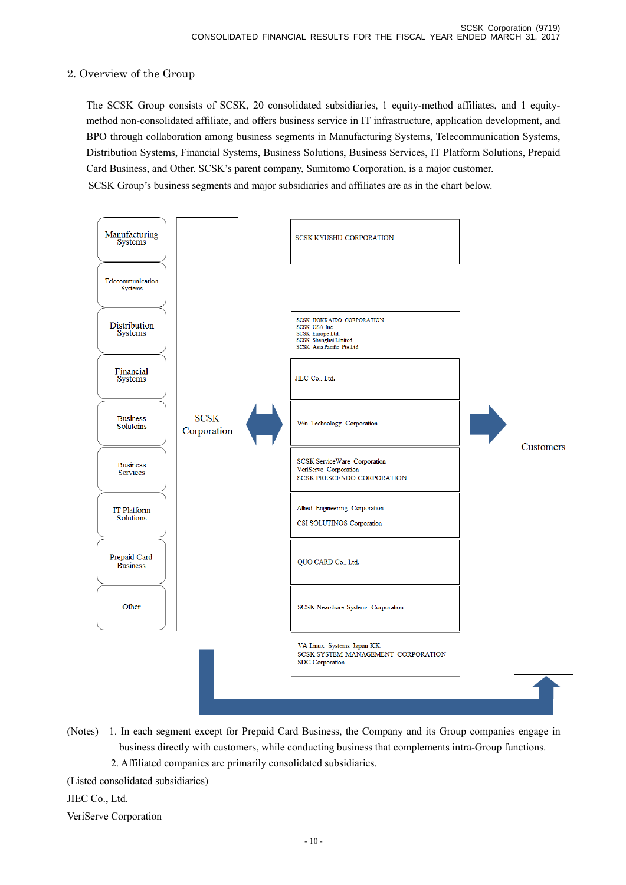# 2. Overview of the Group

 The SCSK Group consists of SCSK, 20 consolidated subsidiaries, 1 equity-method affiliates, and 1 equitymethod non-consolidated affiliate, and offers business service in IT infrastructure, application development, and BPO through collaboration among business segments in Manufacturing Systems, Telecommunication Systems, Distribution Systems, Financial Systems, Business Solutions, Business Services, IT Platform Solutions, Prepaid Card Business, and Other. SCSK's parent company, Sumitomo Corporation, is a major customer. SCSK Group's business segments and major subsidiaries and affiliates are as in the chart below.



(Notes) 1. In each segment except for Prepaid Card Business, the Company and its Group companies engage in business directly with customers, while conducting business that complements intra-Group functions.

2. Affiliated companies are primarily consolidated subsidiaries.

(Listed consolidated subsidiaries)

JIEC Co., Ltd.

VeriServe Corporation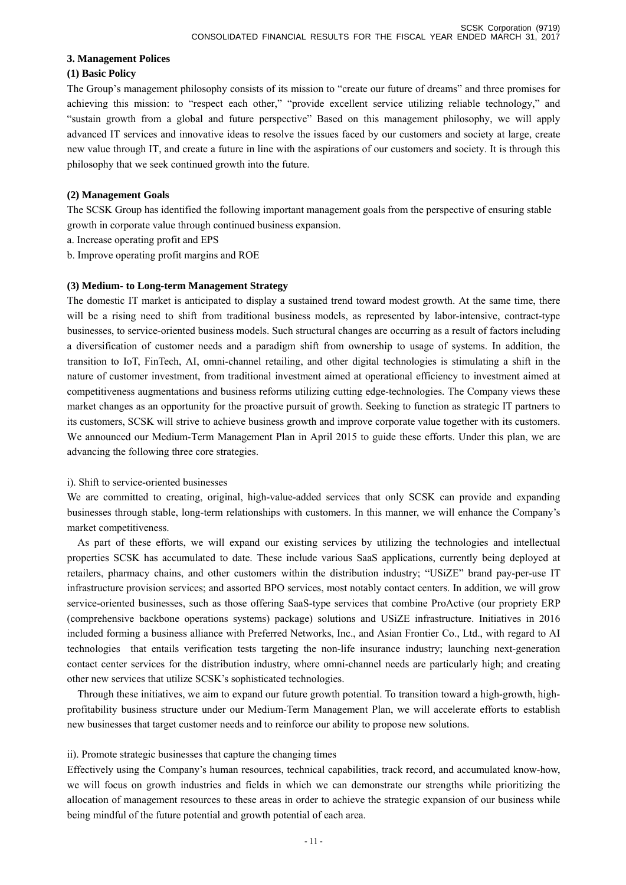### **3. Management Polices**

### **(1) Basic Policy**

The Group's management philosophy consists of its mission to "create our future of dreams" and three promises for achieving this mission: to "respect each other," "provide excellent service utilizing reliable technology," and "sustain growth from a global and future perspective" Based on this management philosophy, we will apply advanced IT services and innovative ideas to resolve the issues faced by our customers and society at large, create new value through IT, and create a future in line with the aspirations of our customers and society. It is through this philosophy that we seek continued growth into the future.

## **(2) Management Goals**

The SCSK Group has identified the following important management goals from the perspective of ensuring stable growth in corporate value through continued business expansion.

- a. Increase operating profit and EPS
- b. Improve operating profit margins and ROE

## **(3) Medium- to Long-term Management Strategy**

The domestic IT market is anticipated to display a sustained trend toward modest growth. At the same time, there will be a rising need to shift from traditional business models, as represented by labor-intensive, contract-type businesses, to service-oriented business models. Such structural changes are occurring as a result of factors including a diversification of customer needs and a paradigm shift from ownership to usage of systems. In addition, the transition to IoT, FinTech, AI, omni-channel retailing, and other digital technologies is stimulating a shift in the nature of customer investment, from traditional investment aimed at operational efficiency to investment aimed at competitiveness augmentations and business reforms utilizing cutting edge-technologies. The Company views these market changes as an opportunity for the proactive pursuit of growth. Seeking to function as strategic IT partners to its customers, SCSK will strive to achieve business growth and improve corporate value together with its customers. We announced our Medium-Term Management Plan in April 2015 to guide these efforts. Under this plan, we are advancing the following three core strategies.

### i). Shift to service-oriented businesses

We are committed to creating, original, high-value-added services that only SCSK can provide and expanding businesses through stable, long-term relationships with customers. In this manner, we will enhance the Company's market competitiveness.

 As part of these efforts, we will expand our existing services by utilizing the technologies and intellectual properties SCSK has accumulated to date. These include various SaaS applications, currently being deployed at retailers, pharmacy chains, and other customers within the distribution industry; "USiZE" brand pay-per-use IT infrastructure provision services; and assorted BPO services, most notably contact centers. In addition, we will grow service-oriented businesses, such as those offering SaaS-type services that combine ProActive (our propriety ERP (comprehensive backbone operations systems) package) solutions and USiZE infrastructure. Initiatives in 2016 included forming a business alliance with Preferred Networks, Inc., and Asian Frontier Co., Ltd., with regard to AI technologies that entails verification tests targeting the non-life insurance industry; launching next-generation contact center services for the distribution industry, where omni-channel needs are particularly high; and creating other new services that utilize SCSK's sophisticated technologies.

 Through these initiatives, we aim to expand our future growth potential. To transition toward a high-growth, highprofitability business structure under our Medium-Term Management Plan, we will accelerate efforts to establish new businesses that target customer needs and to reinforce our ability to propose new solutions.

### ii). Promote strategic businesses that capture the changing times

Effectively using the Company's human resources, technical capabilities, track record, and accumulated know-how, we will focus on growth industries and fields in which we can demonstrate our strengths while prioritizing the allocation of management resources to these areas in order to achieve the strategic expansion of our business while being mindful of the future potential and growth potential of each area.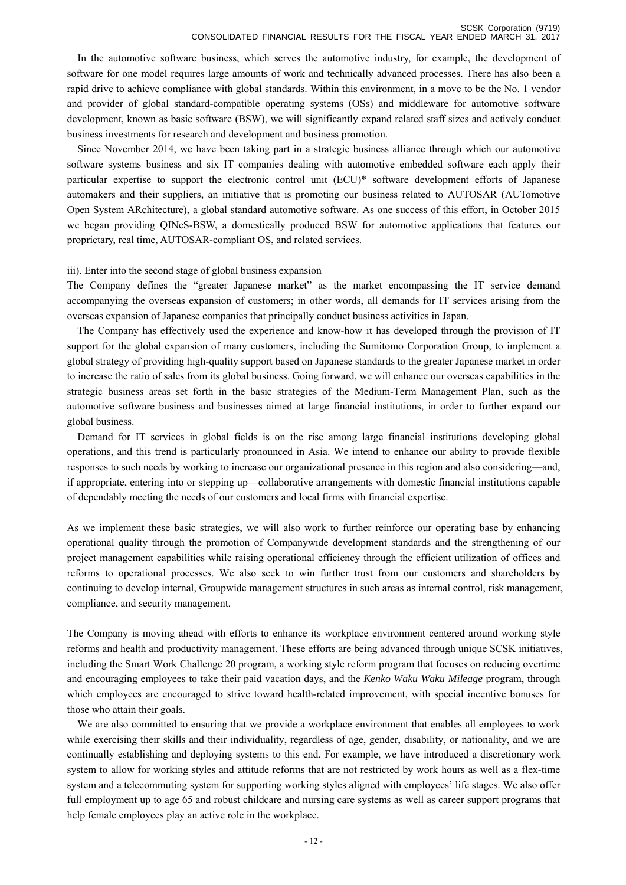In the automotive software business, which serves the automotive industry, for example, the development of software for one model requires large amounts of work and technically advanced processes. There has also been a rapid drive to achieve compliance with global standards. Within this environment, in a move to be the No. 1 vendor and provider of global standard-compatible operating systems (OSs) and middleware for automotive software development, known as basic software (BSW), we will significantly expand related staff sizes and actively conduct business investments for research and development and business promotion.

 Since November 2014, we have been taking part in a strategic business alliance through which our automotive software systems business and six IT companies dealing with automotive embedded software each apply their particular expertise to support the electronic control unit (ECU)\* software development efforts of Japanese automakers and their suppliers, an initiative that is promoting our business related to AUTOSAR (AUTomotive Open System ARchitecture), a global standard automotive software. As one success of this effort, in October 2015 we began providing QINeS-BSW, a domestically produced BSW for automotive applications that features our proprietary, real time, AUTOSAR-compliant OS, and related services.

### iii). Enter into the second stage of global business expansion

The Company defines the "greater Japanese market" as the market encompassing the IT service demand accompanying the overseas expansion of customers; in other words, all demands for IT services arising from the overseas expansion of Japanese companies that principally conduct business activities in Japan.

 The Company has effectively used the experience and know-how it has developed through the provision of IT support for the global expansion of many customers, including the Sumitomo Corporation Group, to implement a global strategy of providing high-quality support based on Japanese standards to the greater Japanese market in order to increase the ratio of sales from its global business. Going forward, we will enhance our overseas capabilities in the strategic business areas set forth in the basic strategies of the Medium-Term Management Plan, such as the automotive software business and businesses aimed at large financial institutions, in order to further expand our global business.

 Demand for IT services in global fields is on the rise among large financial institutions developing global operations, and this trend is particularly pronounced in Asia. We intend to enhance our ability to provide flexible responses to such needs by working to increase our organizational presence in this region and also considering—and, if appropriate, entering into or stepping up—collaborative arrangements with domestic financial institutions capable of dependably meeting the needs of our customers and local firms with financial expertise.

As we implement these basic strategies, we will also work to further reinforce our operating base by enhancing operational quality through the promotion of Companywide development standards and the strengthening of our project management capabilities while raising operational efficiency through the efficient utilization of offices and reforms to operational processes. We also seek to win further trust from our customers and shareholders by continuing to develop internal, Groupwide management structures in such areas as internal control, risk management, compliance, and security management.

The Company is moving ahead with efforts to enhance its workplace environment centered around working style reforms and health and productivity management. These efforts are being advanced through unique SCSK initiatives, including the Smart Work Challenge 20 program, a working style reform program that focuses on reducing overtime and encouraging employees to take their paid vacation days, and the *Kenko Waku Waku Mileage* program, through which employees are encouraged to strive toward health-related improvement, with special incentive bonuses for those who attain their goals.

 We are also committed to ensuring that we provide a workplace environment that enables all employees to work while exercising their skills and their individuality, regardless of age, gender, disability, or nationality, and we are continually establishing and deploying systems to this end. For example, we have introduced a discretionary work system to allow for working styles and attitude reforms that are not restricted by work hours as well as a flex-time system and a telecommuting system for supporting working styles aligned with employees' life stages. We also offer full employment up to age 65 and robust childcare and nursing care systems as well as career support programs that help female employees play an active role in the workplace.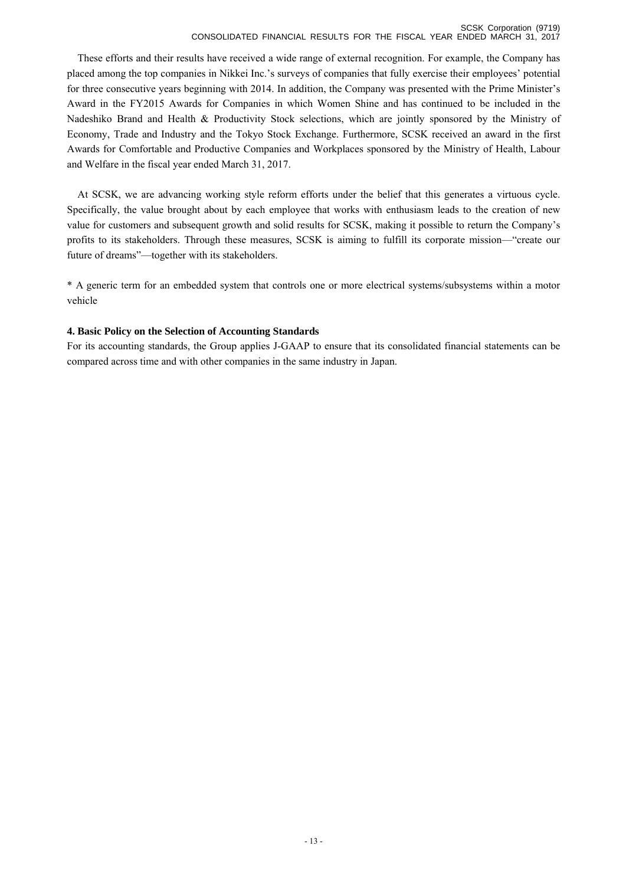#### SCSK Corporation (9719) CONSOLIDATED FINANCIAL RESULTS FOR THE FISCAL YEAR ENDED MARCH 31, 2017

 These efforts and their results have received a wide range of external recognition. For example, the Company has placed among the top companies in Nikkei Inc.'s surveys of companies that fully exercise their employees' potential for three consecutive years beginning with 2014. In addition, the Company was presented with the Prime Minister's Award in the FY2015 Awards for Companies in which Women Shine and has continued to be included in the Nadeshiko Brand and Health & Productivity Stock selections, which are jointly sponsored by the Ministry of Economy, Trade and Industry and the Tokyo Stock Exchange. Furthermore, SCSK received an award in the first Awards for Comfortable and Productive Companies and Workplaces sponsored by the Ministry of Health, Labour and Welfare in the fiscal year ended March 31, 2017.

 At SCSK, we are advancing working style reform efforts under the belief that this generates a virtuous cycle. Specifically, the value brought about by each employee that works with enthusiasm leads to the creation of new value for customers and subsequent growth and solid results for SCSK, making it possible to return the Company's profits to its stakeholders. Through these measures, SCSK is aiming to fulfill its corporate mission—"create our future of dreams"—together with its stakeholders.

\* A generic term for an embedded system that controls one or more electrical systems/subsystems within a motor vehicle

# **4. Basic Policy on the Selection of Accounting Standards**

For its accounting standards, the Group applies J-GAAP to ensure that its consolidated financial statements can be compared across time and with other companies in the same industry in Japan.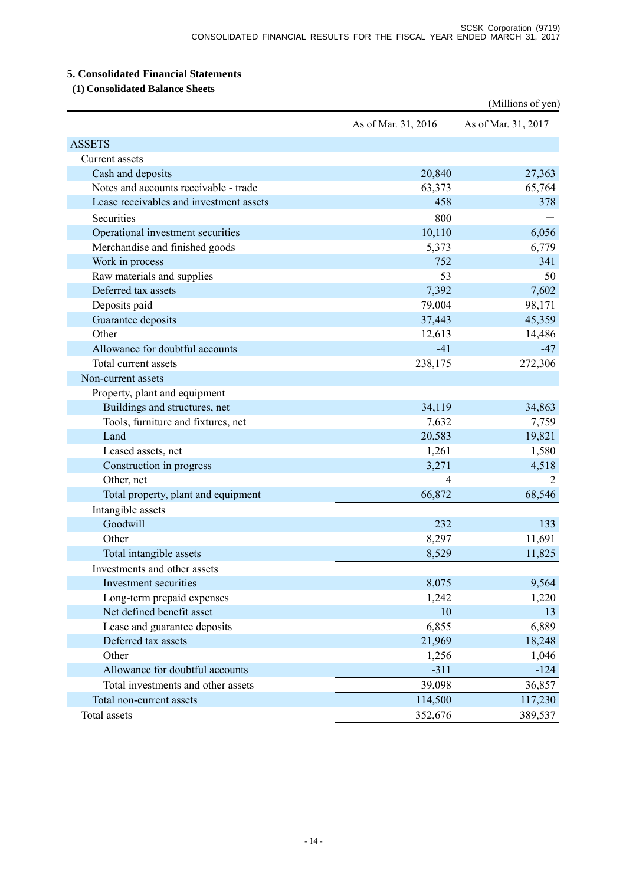# **5. Consolidated Financial Statements**

 **(1) Consolidated Balance Sheets** 

|                                         |                     | (Millions of yen)   |
|-----------------------------------------|---------------------|---------------------|
|                                         | As of Mar. 31, 2016 | As of Mar. 31, 2017 |
| <b>ASSETS</b>                           |                     |                     |
| Current assets                          |                     |                     |
| Cash and deposits                       | 20,840              | 27,363              |
| Notes and accounts receivable - trade   | 63,373              | 65,764              |
| Lease receivables and investment assets | 458                 | 378                 |
| Securities                              | 800                 |                     |
| Operational investment securities       | 10,110              | 6,056               |
| Merchandise and finished goods          | 5,373               | 6,779               |
| Work in process                         | 752                 | 341                 |
| Raw materials and supplies              | 53                  | 50                  |
| Deferred tax assets                     | 7,392               | 7,602               |
| Deposits paid                           | 79,004              | 98,171              |
| Guarantee deposits                      | 37,443              | 45,359              |
| Other                                   | 12,613              | 14,486              |
| Allowance for doubtful accounts         | $-41$               | $-47$               |
| Total current assets                    | 238,175             | 272,306             |
| Non-current assets                      |                     |                     |
| Property, plant and equipment           |                     |                     |
| Buildings and structures, net           | 34,119              | 34,863              |
| Tools, furniture and fixtures, net      | 7,632               | 7,759               |
| Land                                    | 20,583              | 19,821              |
| Leased assets, net                      | 1,261               | 1,580               |
| Construction in progress                | 3,271               | 4,518               |
| Other, net                              |                     |                     |
| Total property, plant and equipment     | 66,872              | 68,546              |
| Intangible assets                       |                     |                     |
| Goodwill                                | 232                 | 133                 |
| Other                                   | 8,297               | 11,691              |
| Total intangible assets                 | 8,529               | 11,825              |
| Investments and other assets            |                     |                     |
| Investment securities                   | 8,075               | 9,564               |
| Long-term prepaid expenses              | 1,242               | 1,220               |
| Net defined benefit asset               | 10                  | 13                  |
| Lease and guarantee deposits            | 6,855               | 6,889               |
| Deferred tax assets                     | 21,969              | 18,248              |
| Other                                   | 1,256               | 1,046               |
| Allowance for doubtful accounts         | $-311$              | $-124$              |
| Total investments and other assets      | 39,098              | 36,857              |
| Total non-current assets                | 114,500             | 117,230             |
| Total assets                            | 352,676             | 389,537             |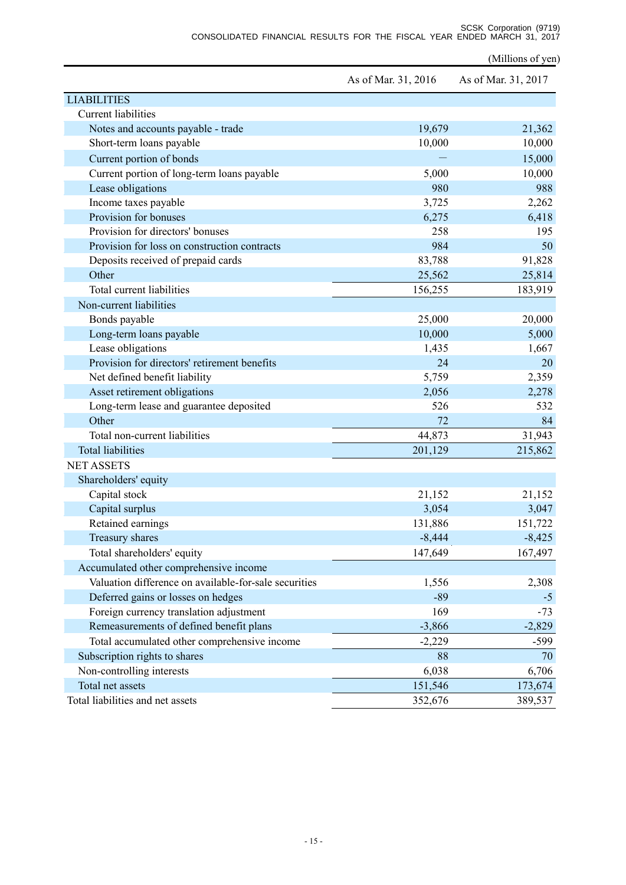SCSK Corporation (9719) CONSOLIDATED FINANCIAL RESULTS FOR THE FISCAL YEAR ENDED MARCH 31, 2017

(Millions of yen)

|                                                       | As of Mar. 31, 2016 | As of Mar. 31, 2017 |
|-------------------------------------------------------|---------------------|---------------------|
| <b>LIABILITIES</b>                                    |                     |                     |
| <b>Current liabilities</b>                            |                     |                     |
| Notes and accounts payable - trade                    | 19,679              | 21,362              |
| Short-term loans payable                              | 10,000              | 10,000              |
| Current portion of bonds                              |                     | 15,000              |
| Current portion of long-term loans payable            | 5,000               | 10,000              |
| Lease obligations                                     | 980                 | 988                 |
| Income taxes payable                                  | 3,725               | 2,262               |
| Provision for bonuses                                 | 6,275               | 6,418               |
| Provision for directors' bonuses                      | 258                 | 195                 |
| Provision for loss on construction contracts          | 984                 | 50                  |
| Deposits received of prepaid cards                    | 83,788              | 91,828              |
| Other                                                 | 25,562              | 25,814              |
| Total current liabilities                             | 156,255             | 183,919             |
| Non-current liabilities                               |                     |                     |
| Bonds payable                                         | 25,000              | 20,000              |
| Long-term loans payable                               | 10,000              | 5,000               |
| Lease obligations                                     | 1,435               | 1,667               |
| Provision for directors' retirement benefits          | 24                  | 20                  |
| Net defined benefit liability                         | 5,759               | 2,359               |
| Asset retirement obligations                          | 2,056               | 2,278               |
| Long-term lease and guarantee deposited               | 526                 | 532                 |
| Other                                                 | 72                  | 84                  |
| Total non-current liabilities                         | 44,873              | 31,943              |
| <b>Total liabilities</b>                              | 201,129             | 215,862             |
| <b>NET ASSETS</b>                                     |                     |                     |
| Shareholders' equity                                  |                     |                     |
| Capital stock                                         | 21,152              | 21,152              |
| Capital surplus                                       | 3,054               | 3,047               |
| Retained earnings                                     | 131,886             | 151,722             |
| Treasury shares                                       | $-8,444$            | $-8,425$            |
| Total shareholders' equity                            | 147,649             | 167,497             |
| Accumulated other comprehensive income                |                     |                     |
| Valuation difference on available-for-sale securities | 1,556               | 2,308               |
| Deferred gains or losses on hedges                    | $-89$               | $-5$                |
| Foreign currency translation adjustment               | 169                 | $-73$               |
| Remeasurements of defined benefit plans               | $-3,866$            | $-2,829$            |
| Total accumulated other comprehensive income          | $-2,229$            | $-599$              |
| Subscription rights to shares                         | 88                  | 70                  |
| Non-controlling interests                             | 6,038               | 6,706               |
| Total net assets                                      | 151,546             | 173,674             |
| Total liabilities and net assets                      | 352,676             | 389,537             |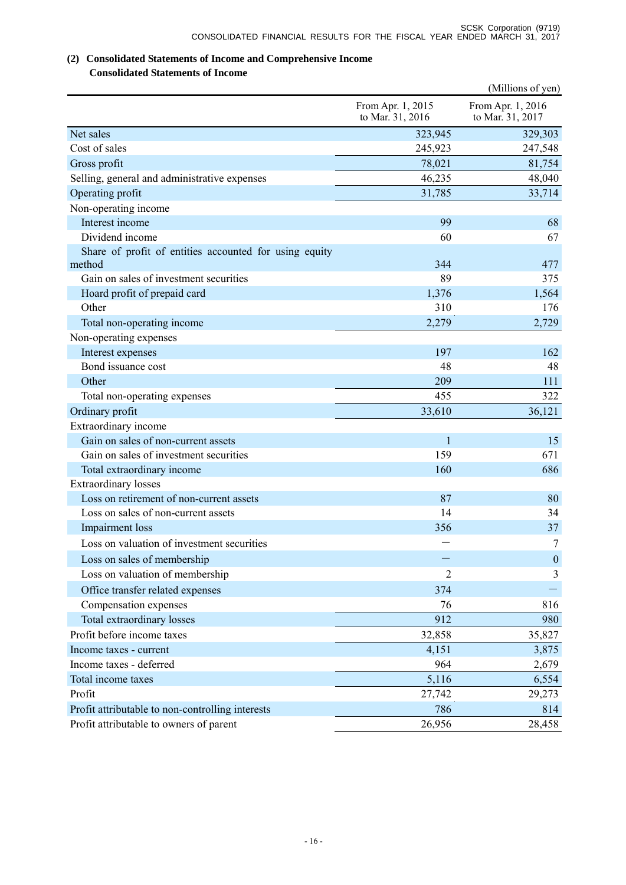# **(2) Consolidated Statements of Income and Comprehensive Income**

# **Consolidated Statements of Income**

|                                                        |                                       | (Millions of yen)                     |
|--------------------------------------------------------|---------------------------------------|---------------------------------------|
|                                                        | From Apr. 1, 2015<br>to Mar. 31, 2016 | From Apr. 1, 2016<br>to Mar. 31, 2017 |
| Net sales                                              | 323,945                               | 329,303                               |
| Cost of sales                                          | 245,923                               | 247,548                               |
| Gross profit                                           | 78,021                                | 81,754                                |
| Selling, general and administrative expenses           | 46,235                                | 48,040                                |
| Operating profit                                       | 31,785                                | 33,714                                |
| Non-operating income                                   |                                       |                                       |
| Interest income                                        | 99                                    | 68                                    |
| Dividend income                                        | 60                                    | 67                                    |
| Share of profit of entities accounted for using equity |                                       |                                       |
| method                                                 | 344                                   | 477                                   |
| Gain on sales of investment securities                 | 89                                    | 375                                   |
| Hoard profit of prepaid card                           | 1,376                                 | 1,564                                 |
| Other                                                  | 310                                   | 176                                   |
| Total non-operating income                             | 2,279                                 | 2,729                                 |
| Non-operating expenses                                 |                                       |                                       |
| Interest expenses                                      | 197                                   | 162                                   |
| Bond issuance cost                                     | 48                                    | 48                                    |
| Other                                                  | 209                                   | 111                                   |
| Total non-operating expenses                           | 455                                   | 322                                   |
| Ordinary profit                                        | 33,610                                | 36,121                                |
| Extraordinary income                                   |                                       |                                       |
| Gain on sales of non-current assets                    | $\mathbf{1}$                          | 15                                    |
| Gain on sales of investment securities                 | 159                                   | 671                                   |
| Total extraordinary income                             | 160                                   | 686                                   |
| <b>Extraordinary</b> losses                            |                                       |                                       |
| Loss on retirement of non-current assets               | 87                                    | 80                                    |
| Loss on sales of non-current assets                    | 14                                    | 34                                    |
| Impairment loss                                        | 356                                   | 37                                    |
| Loss on valuation of investment securities             |                                       | 7                                     |
| Loss on sales of membership                            |                                       | $\boldsymbol{0}$                      |
| Loss on valuation of membership                        | $\overline{2}$                        | 3                                     |
| Office transfer related expenses                       | 374                                   |                                       |
| Compensation expenses                                  | 76                                    | 816                                   |
| Total extraordinary losses                             | 912                                   | 980                                   |
| Profit before income taxes                             | 32,858                                | 35,827                                |
| Income taxes - current                                 | 4,151                                 | 3,875                                 |
| Income taxes - deferred                                | 964                                   | 2,679                                 |
| Total income taxes                                     | 5,116                                 | 6,554                                 |
| Profit                                                 | 27,742                                | 29,273                                |
| Profit attributable to non-controlling interests       | 786                                   | 814                                   |
| Profit attributable to owners of parent                | 26,956                                | 28,458                                |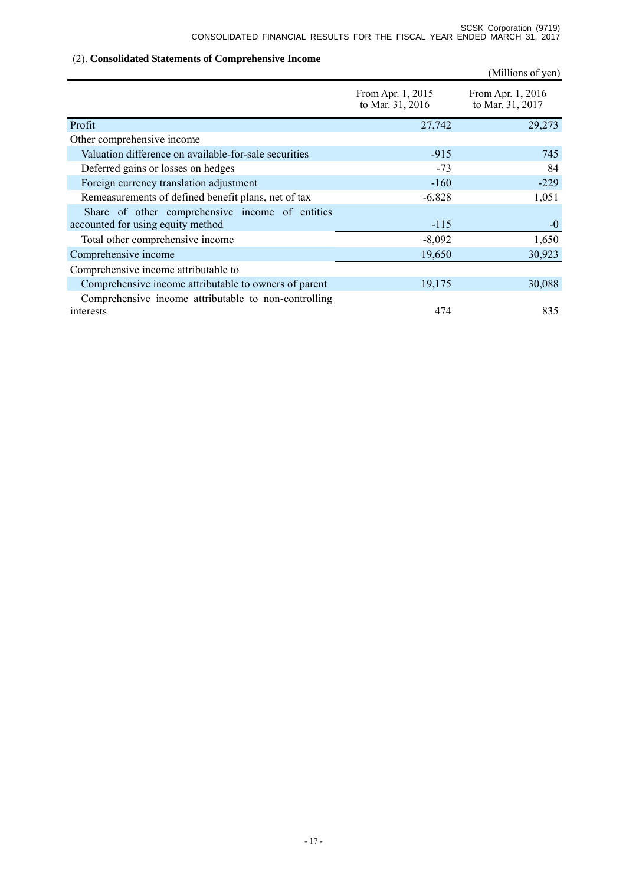# (2). **Consolidated Statements of Comprehensive Income**

|                                                                                      |                                       | (Millions of yen)                     |
|--------------------------------------------------------------------------------------|---------------------------------------|---------------------------------------|
|                                                                                      | From Apr. 1, 2015<br>to Mar. 31, 2016 | From Apr. 1, 2016<br>to Mar. 31, 2017 |
| Profit                                                                               | 27,742                                | 29,273                                |
| Other comprehensive income                                                           |                                       |                                       |
| Valuation difference on available-for-sale securities                                | $-915$                                | 745                                   |
| Deferred gains or losses on hedges                                                   | $-73$                                 | 84                                    |
| Foreign currency translation adjustment                                              | $-160$                                | $-229$                                |
| Remeasurements of defined benefit plans, net of tax                                  | $-6,828$                              | 1,051                                 |
| Share of other comprehensive income of entities<br>accounted for using equity method | $-115$                                | $-0$                                  |
| Total other comprehensive income                                                     | $-8,092$                              | 1,650                                 |
| Comprehensive income                                                                 | 19,650                                | 30,923                                |
| Comprehensive income attributable to                                                 |                                       |                                       |
| Comprehensive income attributable to owners of parent                                | 19,175                                | 30,088                                |
| Comprehensive income attributable to non-controlling                                 |                                       |                                       |
| interests                                                                            | 474                                   | 835                                   |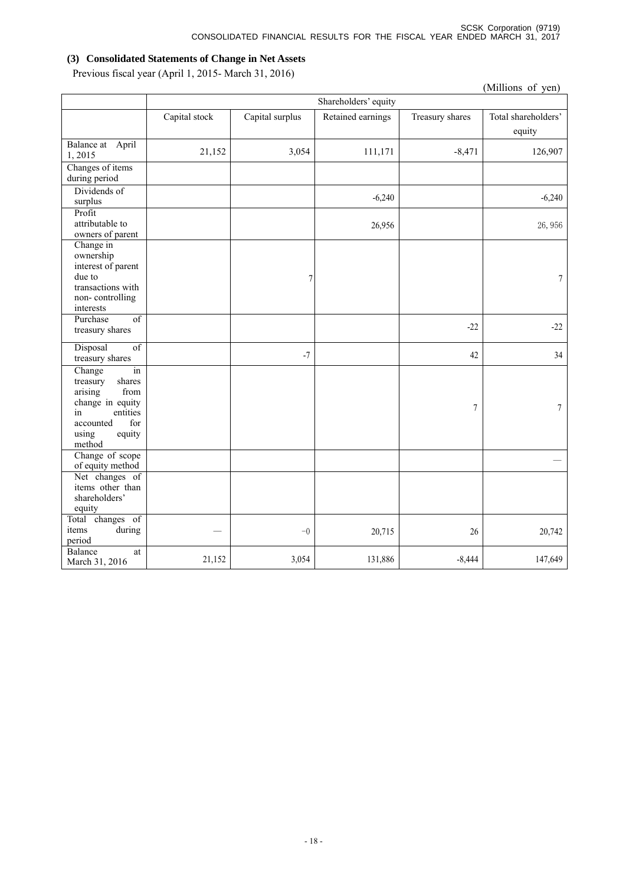# **(3) Consolidated Statements of Change in Net Assets**

Previous fiscal year (April 1, 2015- March 31, 2016)

| (Millions of yen)                                                                                                                            |               |                 |                      |                 |                               |
|----------------------------------------------------------------------------------------------------------------------------------------------|---------------|-----------------|----------------------|-----------------|-------------------------------|
|                                                                                                                                              |               |                 | Shareholders' equity |                 |                               |
|                                                                                                                                              | Capital stock | Capital surplus | Retained earnings    | Treasury shares | Total shareholders'<br>equity |
| Balance at April<br>1,2015                                                                                                                   | 21,152        | 3,054           | 111,171              | $-8,471$        | 126,907                       |
| Changes of items<br>during period                                                                                                            |               |                 |                      |                 |                               |
| Dividends of<br>surplus                                                                                                                      |               |                 | $-6,240$             |                 | $-6,240$                      |
| Profit<br>attributable to<br>owners of parent                                                                                                |               |                 | 26,956               |                 | 26,956                        |
| Change in<br>ownership<br>interest of parent<br>due to<br>transactions with<br>non-controlling<br>interests                                  |               | 7               |                      |                 | $\boldsymbol{7}$              |
| $\overline{of}$<br>Purchase<br>treasury shares                                                                                               |               |                 |                      | $-22$           | $-22$                         |
| of<br>Disposal<br>treasury shares                                                                                                            |               | $-7$            |                      | 42              | 34                            |
| Change<br>in<br>treasury<br>shares<br>arising<br>from<br>change in equity<br>entities<br>in<br>for<br>accounted<br>using<br>equity<br>method |               |                 |                      | $\tau$          | $\boldsymbol{7}$              |
| Change of scope<br>of equity method                                                                                                          |               |                 |                      |                 |                               |
| Net changes of<br>items other than<br>shareholders'<br>equity                                                                                |               |                 |                      |                 |                               |
| Total changes of<br>during<br>items<br>period                                                                                                |               | $-0$            | 20,715               | 26              | 20,742                        |
| Balance<br>at<br>March 31, 2016                                                                                                              | 21,152        | 3,054           | 131,886              | $-8,444$        | 147,649                       |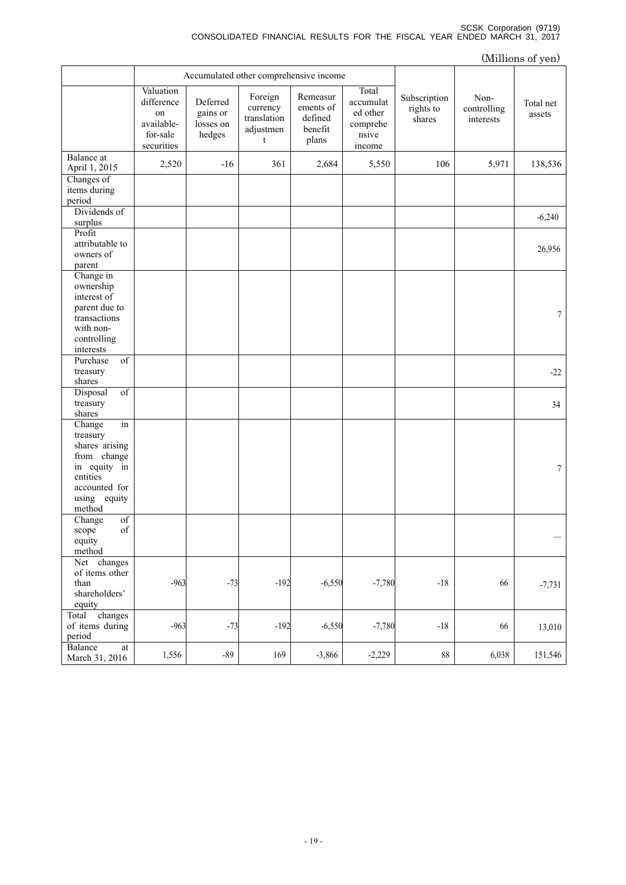#### SCSK Corporation (9719) CONSOLIDATED FINANCIAL RESULTS FOR THE FISCAL YEAR ENDED MARCH 31, 2017

|                                                                                                                                  |                                                                       |                                             |                                                      |                                                      |                                                               |                                     |                                  | (Millions of yen)   |
|----------------------------------------------------------------------------------------------------------------------------------|-----------------------------------------------------------------------|---------------------------------------------|------------------------------------------------------|------------------------------------------------------|---------------------------------------------------------------|-------------------------------------|----------------------------------|---------------------|
|                                                                                                                                  | Accumulated other comprehensive income                                |                                             |                                                      |                                                      |                                                               |                                     |                                  |                     |
|                                                                                                                                  | Valuation<br>difference<br>on<br>available-<br>for-sale<br>securities | Deferred<br>gains or<br>losses on<br>hedges | Foreign<br>currency<br>translation<br>adjustmen<br>t | Remeasur<br>ements of<br>defined<br>benefit<br>plans | Total<br>accumulat<br>ed other<br>comprehe<br>nsive<br>income | Subscription<br>rights to<br>shares | Non-<br>controlling<br>interests | Total net<br>assets |
| Balance at<br>April 1, 2015                                                                                                      | 2,520                                                                 | $-16$                                       | 361                                                  | 2,684                                                | 5,550                                                         | 106                                 | 5,971                            | 138,536             |
| Changes of<br>items during<br>period                                                                                             |                                                                       |                                             |                                                      |                                                      |                                                               |                                     |                                  |                     |
| Dividends of<br>surplus                                                                                                          |                                                                       |                                             |                                                      |                                                      |                                                               |                                     |                                  | $-6,240$            |
| Profit<br>attributable to<br>owners of<br>parent                                                                                 |                                                                       |                                             |                                                      |                                                      |                                                               |                                     |                                  | 26,956              |
| Change in<br>ownership<br>interest of<br>parent due to<br>transactions<br>with non-<br>controlling<br>interests                  |                                                                       |                                             |                                                      |                                                      |                                                               |                                     |                                  | 7                   |
| $\overline{of}$<br>Purchase<br>treasury<br>shares                                                                                |                                                                       |                                             |                                                      |                                                      |                                                               |                                     |                                  | $-22$               |
| $\overline{of}$<br>Disposal<br>treasury<br>shares                                                                                |                                                                       |                                             |                                                      |                                                      |                                                               |                                     |                                  | 34                  |
| Change<br>in<br>treasury<br>shares arising<br>from change<br>in equity in<br>entities<br>accounted for<br>using equity<br>method |                                                                       |                                             |                                                      |                                                      |                                                               |                                     |                                  | 7                   |
| Change of<br>$\sigma f$<br>scope<br>equity<br>method                                                                             |                                                                       |                                             |                                                      |                                                      |                                                               |                                     |                                  |                     |
| Net changes<br>of items other<br>than<br>shareholders'<br>equity                                                                 | $-963$                                                                | $-73$                                       | $-192$                                               | $-6,550$                                             | $-7,780$                                                      | $-18$                               | 66                               | $-7,731$            |
| changes<br>Total<br>of items during<br>period                                                                                    | $-963$                                                                | $-73$                                       | $-192$                                               | $-6,550$                                             | $-7,780$                                                      | $-18$                               | 66                               | 13,010              |
| Balance<br>at<br>March 31, 2016                                                                                                  | 1,556                                                                 | $-89$                                       | 169                                                  | $-3,866$                                             | $-2,229$                                                      | $88\,$                              | 6,038                            | 151,546             |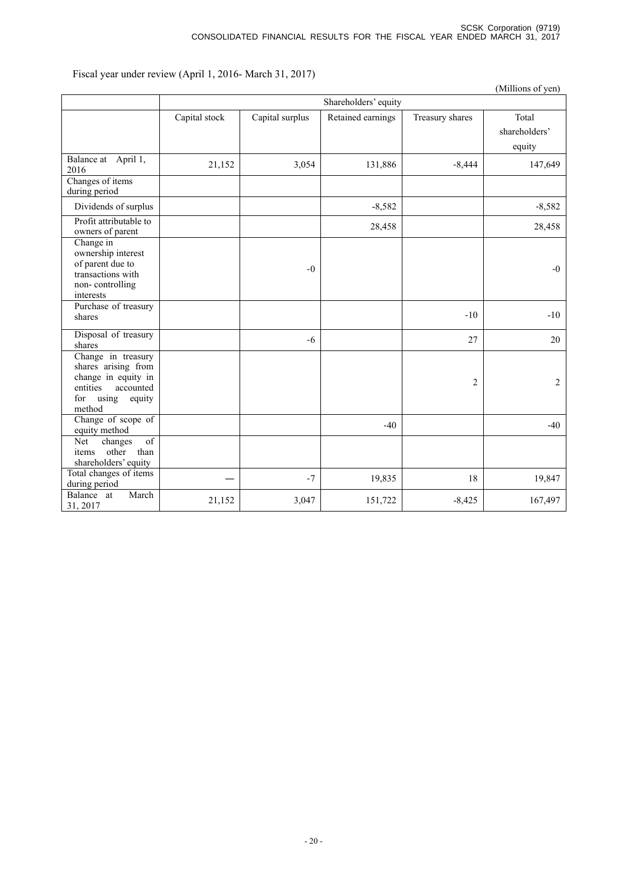Fiscal year under review (April 1, 2016- March 31, 2017)

|                                                                                                                               |               |                 |                      |                 | (Millions of yen)                |
|-------------------------------------------------------------------------------------------------------------------------------|---------------|-----------------|----------------------|-----------------|----------------------------------|
|                                                                                                                               |               |                 | Shareholders' equity |                 |                                  |
|                                                                                                                               | Capital stock | Capital surplus | Retained earnings    | Treasury shares | Total<br>shareholders'<br>equity |
| Balance at April 1,<br>2016<br>Changes of items<br>during period                                                              | 21,152        | 3,054           | 131,886              | $-8,444$        | 147,649                          |
| Dividends of surplus                                                                                                          |               |                 | $-8,582$             |                 | $-8,582$                         |
| Profit attributable to<br>owners of parent                                                                                    |               |                 | 28,458               |                 | 28,458                           |
| Change in<br>ownership interest<br>of parent due to<br>transactions with<br>non-controlling<br>interests                      |               | $-0$            |                      |                 | $-0$                             |
| Purchase of treasury<br>shares                                                                                                |               |                 |                      | $-10$           | $-10$                            |
| Disposal of treasury<br>shares                                                                                                |               | $-6$            |                      | 27              | 20                               |
| Change in treasury<br>shares arising from<br>change in equity in<br>entities<br>accounted<br>using<br>for<br>equity<br>method |               |                 |                      | $\overline{c}$  | $\overline{2}$                   |
| Change of scope of<br>equity method                                                                                           |               |                 | $-40$                |                 | $-40$                            |
| of<br>changes<br>Net<br>other than<br>items<br>shareholders' equity                                                           |               |                 |                      |                 |                                  |
| Total changes of items<br>during period                                                                                       |               | $-7$            | 19,835               | 18              | 19,847                           |
| Balance at<br>March<br>31, 2017                                                                                               | 21,152        | 3,047           | 151,722              | $-8,425$        | 167,497                          |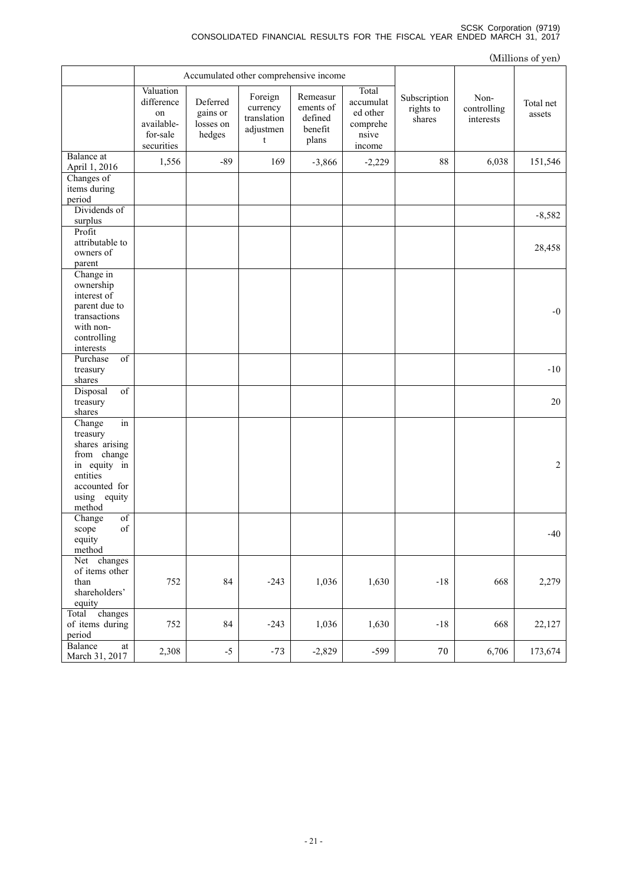### SCSK Corporation (9719) CONSOLIDATED FINANCIAL RESULTS FOR THE FISCAL YEAR ENDED MARCH 31, 2017

|                                                                                                                                                 |                                                                       |                                             |                                                      |                                                      |                                                               |                                     |                                  | (Millions of yen)   |
|-------------------------------------------------------------------------------------------------------------------------------------------------|-----------------------------------------------------------------------|---------------------------------------------|------------------------------------------------------|------------------------------------------------------|---------------------------------------------------------------|-------------------------------------|----------------------------------|---------------------|
|                                                                                                                                                 | Accumulated other comprehensive income                                |                                             |                                                      |                                                      |                                                               |                                     |                                  |                     |
|                                                                                                                                                 | Valuation<br>difference<br>on<br>available-<br>for-sale<br>securities | Deferred<br>gains or<br>losses on<br>hedges | Foreign<br>currency<br>translation<br>adjustmen<br>t | Remeasur<br>ements of<br>defined<br>benefit<br>plans | Total<br>accumulat<br>ed other<br>comprehe<br>nsive<br>income | Subscription<br>rights to<br>shares | Non-<br>controlling<br>interests | Total net<br>assets |
| Balance at<br>April 1, 2016                                                                                                                     | 1,556                                                                 | $-89$                                       | 169                                                  | $-3,866$                                             | $-2,229$                                                      | 88                                  | 6,038                            | 151,546             |
| Changes of<br>items during<br>period                                                                                                            |                                                                       |                                             |                                                      |                                                      |                                                               |                                     |                                  |                     |
| Dividends of<br>surplus                                                                                                                         |                                                                       |                                             |                                                      |                                                      |                                                               |                                     |                                  | $-8,582$            |
| Profit<br>attributable to<br>owners of<br>parent                                                                                                |                                                                       |                                             |                                                      |                                                      |                                                               |                                     |                                  | 28,458              |
| Change in<br>ownership<br>interest of<br>parent due to<br>transactions<br>with non-<br>controlling<br>interests                                 |                                                                       |                                             |                                                      |                                                      |                                                               |                                     |                                  | $-0$                |
| Purchase<br>of<br>treasury<br>shares                                                                                                            |                                                                       |                                             |                                                      |                                                      |                                                               |                                     |                                  | $-10$               |
| Disposal<br>of<br>treasury<br>shares                                                                                                            |                                                                       |                                             |                                                      |                                                      |                                                               |                                     |                                  | 20                  |
| in<br>Change<br>treasury<br>shares arising<br>from change<br>in equity in<br>entities<br>accounted for<br>using equity<br>method                |                                                                       |                                             |                                                      |                                                      |                                                               |                                     |                                  | 2                   |
| of<br>Change<br>$% \left( \left( \mathcal{A},\mathcal{A}\right) \right) =\left( \mathcal{A},\mathcal{A}\right)$ of<br>scope<br>equity<br>method |                                                                       |                                             |                                                      |                                                      |                                                               |                                     |                                  | $-40$               |
| Net changes<br>of items other<br>than<br>shareholders'<br>equity                                                                                | 752                                                                   | 84                                          | $-243$                                               | 1,036                                                | 1,630                                                         | $-18$                               | 668                              | 2,279               |
| changes<br>Total<br>of items during<br>period                                                                                                   | 752                                                                   | 84                                          | $-243$                                               | 1,036                                                | 1,630                                                         | $-18$                               | 668                              | 22,127              |
| Balance<br>$\operatorname{at}$<br>March 31, 2017                                                                                                | 2,308                                                                 | $-5$                                        | $-73$                                                | $-2,829$                                             | $-599$                                                        | $70\,$                              | 6,706                            | 173,674             |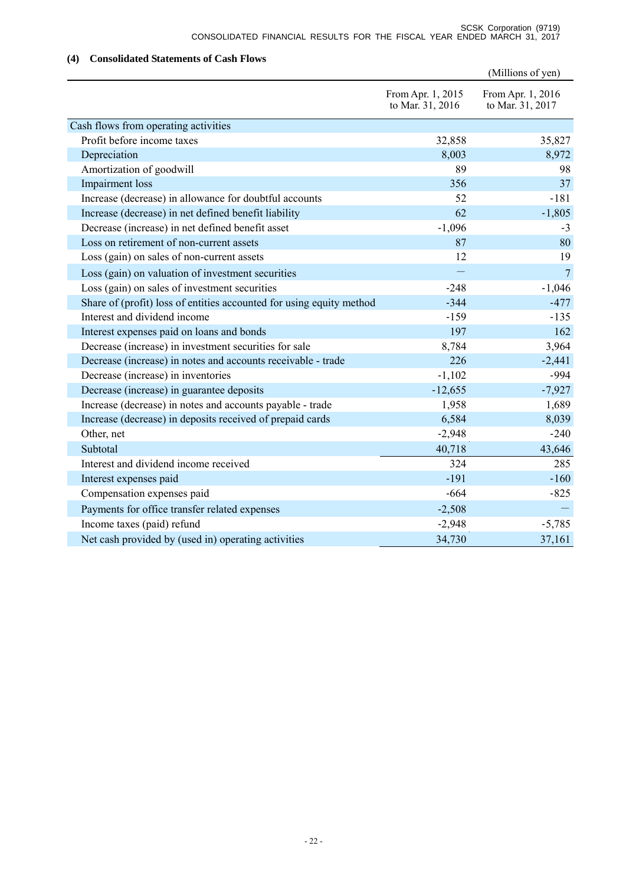# **(4) Consolidated Statements of Cash Flows**

|                                                                      |                                       | (Millions of yen)                     |
|----------------------------------------------------------------------|---------------------------------------|---------------------------------------|
|                                                                      | From Apr. 1, 2015<br>to Mar. 31, 2016 | From Apr. 1, 2016<br>to Mar. 31, 2017 |
| Cash flows from operating activities                                 |                                       |                                       |
| Profit before income taxes                                           | 32,858                                | 35,827                                |
| Depreciation                                                         | 8,003                                 | 8,972                                 |
| Amortization of goodwill                                             | 89                                    | 98                                    |
| Impairment loss                                                      | 356                                   | 37                                    |
| Increase (decrease) in allowance for doubtful accounts               | 52                                    | $-181$                                |
| Increase (decrease) in net defined benefit liability                 | 62                                    | $-1,805$                              |
| Decrease (increase) in net defined benefit asset                     | $-1,096$                              | $-3$                                  |
| Loss on retirement of non-current assets                             | 87                                    | 80                                    |
| Loss (gain) on sales of non-current assets                           | 12                                    | 19                                    |
| Loss (gain) on valuation of investment securities                    |                                       | $7\phantom{.0}$                       |
| Loss (gain) on sales of investment securities                        | $-248$                                | $-1,046$                              |
| Share of (profit) loss of entities accounted for using equity method | $-344$                                | $-477$                                |
| Interest and dividend income                                         | $-159$                                | $-135$                                |
| Interest expenses paid on loans and bonds                            | 197                                   | 162                                   |
| Decrease (increase) in investment securities for sale                | 8,784                                 | 3,964                                 |
| Decrease (increase) in notes and accounts receivable - trade         | 226                                   | $-2,441$                              |
| Decrease (increase) in inventories                                   | $-1,102$                              | -994                                  |
| Decrease (increase) in guarantee deposits                            | $-12,655$                             | $-7,927$                              |
| Increase (decrease) in notes and accounts payable - trade            | 1,958                                 | 1,689                                 |
| Increase (decrease) in deposits received of prepaid cards            | 6,584                                 | 8,039                                 |
| Other, net                                                           | $-2,948$                              | $-240$                                |
| Subtotal                                                             | 40,718                                | 43,646                                |
| Interest and dividend income received                                | 324                                   | 285                                   |
| Interest expenses paid                                               | $-191$                                | $-160$                                |
| Compensation expenses paid                                           | $-664$                                | $-825$                                |
| Payments for office transfer related expenses                        | $-2,508$                              |                                       |
| Income taxes (paid) refund                                           | $-2,948$                              | $-5,785$                              |
| Net cash provided by (used in) operating activities                  | 34,730                                | 37,161                                |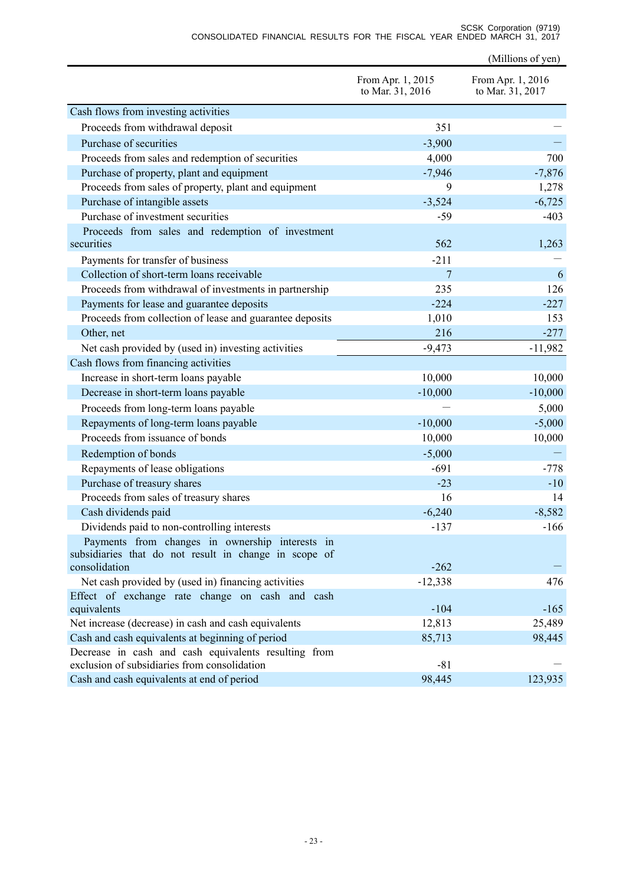|                                                                                                      | From Apr. 1, 2015<br>to Mar. 31, 2016 | From Apr. 1, 2016<br>to Mar. 31, 2017 |
|------------------------------------------------------------------------------------------------------|---------------------------------------|---------------------------------------|
| Cash flows from investing activities                                                                 |                                       |                                       |
| Proceeds from withdrawal deposit                                                                     | 351                                   |                                       |
| Purchase of securities                                                                               | $-3,900$                              |                                       |
| Proceeds from sales and redemption of securities                                                     | 4,000                                 | 700                                   |
| Purchase of property, plant and equipment                                                            | $-7,946$                              | $-7,876$                              |
| Proceeds from sales of property, plant and equipment                                                 | 9                                     | 1,278                                 |
| Purchase of intangible assets                                                                        | $-3,524$                              | $-6,725$                              |
| Purchase of investment securities                                                                    | $-59$                                 | $-403$                                |
| Proceeds from sales and redemption of investment                                                     |                                       |                                       |
| securities                                                                                           | 562                                   | 1,263                                 |
| Payments for transfer of business                                                                    | $-211$                                |                                       |
| Collection of short-term loans receivable                                                            | 7                                     | 6                                     |
| Proceeds from withdrawal of investments in partnership                                               | 235                                   | 126                                   |
| Payments for lease and guarantee deposits                                                            | $-224$                                | $-227$                                |
| Proceeds from collection of lease and guarantee deposits                                             | 1,010                                 | 153                                   |
| Other, net                                                                                           | 216                                   | $-277$                                |
| Net cash provided by (used in) investing activities                                                  | $-9,473$                              | $-11,982$                             |
| Cash flows from financing activities                                                                 |                                       |                                       |
| Increase in short-term loans payable                                                                 | 10,000                                | 10,000                                |
| Decrease in short-term loans payable                                                                 | $-10,000$                             | $-10,000$                             |
| Proceeds from long-term loans payable                                                                |                                       | 5,000                                 |
| Repayments of long-term loans payable                                                                | $-10,000$                             | $-5,000$                              |
| Proceeds from issuance of bonds                                                                      | 10,000                                | 10,000                                |
| Redemption of bonds                                                                                  | $-5,000$                              |                                       |
| Repayments of lease obligations                                                                      | $-691$                                | $-778$                                |
| Purchase of treasury shares                                                                          | $-23$                                 | $-10$                                 |
| Proceeds from sales of treasury shares                                                               | 16                                    | 14                                    |
| Cash dividends paid                                                                                  | $-6,240$                              | $-8,582$                              |
| Dividends paid to non-controlling interests                                                          | $-137$                                | $-166$                                |
| Payments from changes in ownership interests in                                                      |                                       |                                       |
| subsidiaries that do not result in change in scope of                                                |                                       |                                       |
| consolidation                                                                                        | $-262$                                |                                       |
| Net cash provided by (used in) financing activities                                                  | $-12,338$                             | 476                                   |
| Effect of exchange rate change on cash and cash<br>equivalents                                       | $-104$                                | $-165$                                |
| Net increase (decrease) in cash and cash equivalents                                                 | 12,813                                | 25,489                                |
| Cash and cash equivalents at beginning of period                                                     | 85,713                                | 98,445                                |
| Decrease in cash and cash equivalents resulting from<br>exclusion of subsidiaries from consolidation | $-81$                                 |                                       |
| Cash and cash equivalents at end of period                                                           | 98,445                                | 123,935                               |

(Millions of yen)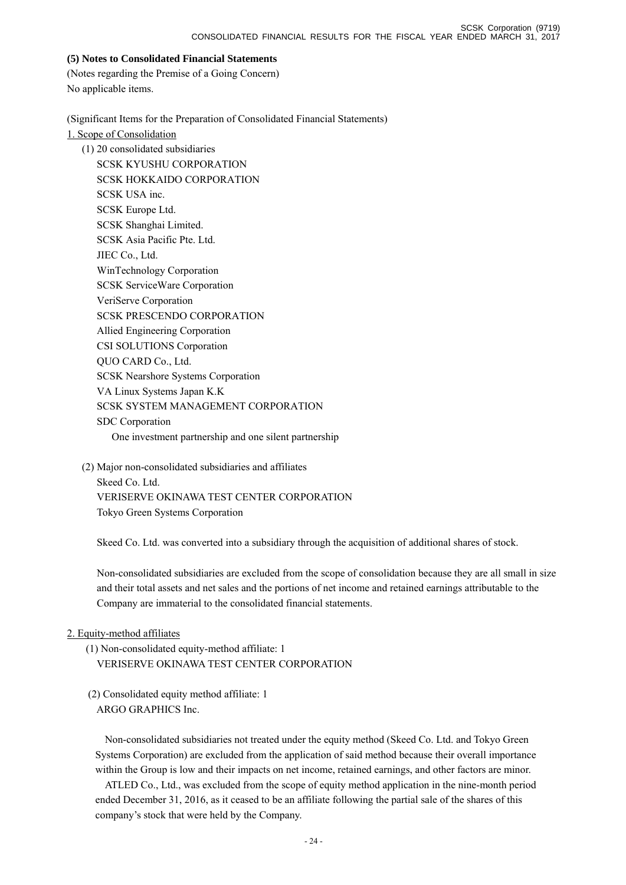## **(5) Notes to Consolidated Financial Statements**

(Notes regarding the Premise of a Going Concern) No applicable items.

(Significant Items for the Preparation of Consolidated Financial Statements)

1. Scope of Consolidation

(1) 20 consolidated subsidiaries SCSK KYUSHU CORPORATION SCSK HOKKAIDO CORPORATION SCSK USA inc. SCSK Europe Ltd. SCSK Shanghai Limited. SCSK Asia Pacific Pte. Ltd. JIEC Co., Ltd. WinTechnology Corporation SCSK ServiceWare Corporation VeriServe Corporation SCSK PRESCENDO CORPORATION Allied Engineering Corporation CSI SOLUTIONS Corporation QUO CARD Co., Ltd. SCSK Nearshore Systems Corporation VA Linux Systems Japan K.K SCSK SYSTEM MANAGEMENT CORPORATION SDC Corporation One investment partnership and one silent partnership

(2) Major non-consolidated subsidiaries and affiliates Skeed Co. Ltd. VERISERVE OKINAWA TEST CENTER CORPORATION Tokyo Green Systems Corporation

Skeed Co. Ltd. was converted into a subsidiary through the acquisition of additional shares of stock.

Non-consolidated subsidiaries are excluded from the scope of consolidation because they are all small in size and their total assets and net sales and the portions of net income and retained earnings attributable to the Company are immaterial to the consolidated financial statements.

# 2. Equity-method affiliates

(1) Non-consolidated equity-method affiliate: 1 VERISERVE OKINAWA TEST CENTER CORPORATION

 (2) Consolidated equity method affiliate: 1 ARGO GRAPHICS Inc.

Non-consolidated subsidiaries not treated under the equity method (Skeed Co. Ltd. and Tokyo Green Systems Corporation) are excluded from the application of said method because their overall importance within the Group is low and their impacts on net income, retained earnings, and other factors are minor.

ATLED Co., Ltd., was excluded from the scope of equity method application in the nine-month period ended December 31, 2016, as it ceased to be an affiliate following the partial sale of the shares of this company's stock that were held by the Company.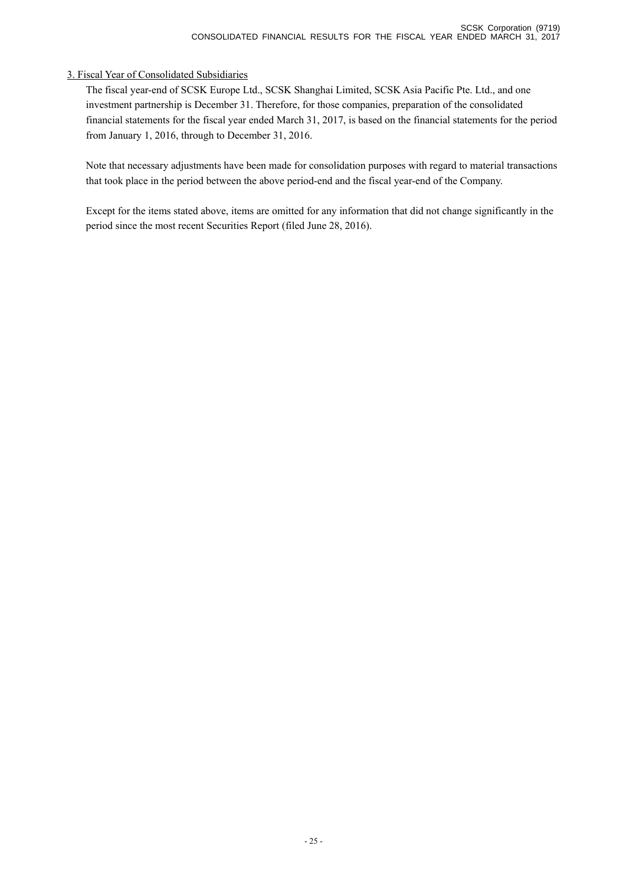# 3. Fiscal Year of Consolidated Subsidiaries

The fiscal year-end of SCSK Europe Ltd., SCSK Shanghai Limited, SCSK Asia Pacific Pte. Ltd., and one investment partnership is December 31. Therefore, for those companies, preparation of the consolidated financial statements for the fiscal year ended March 31, 2017, is based on the financial statements for the period from January 1, 2016, through to December 31, 2016.

Note that necessary adjustments have been made for consolidation purposes with regard to material transactions that took place in the period between the above period-end and the fiscal year-end of the Company.

Except for the items stated above, items are omitted for any information that did not change significantly in the period since the most recent Securities Report (filed June 28, 2016).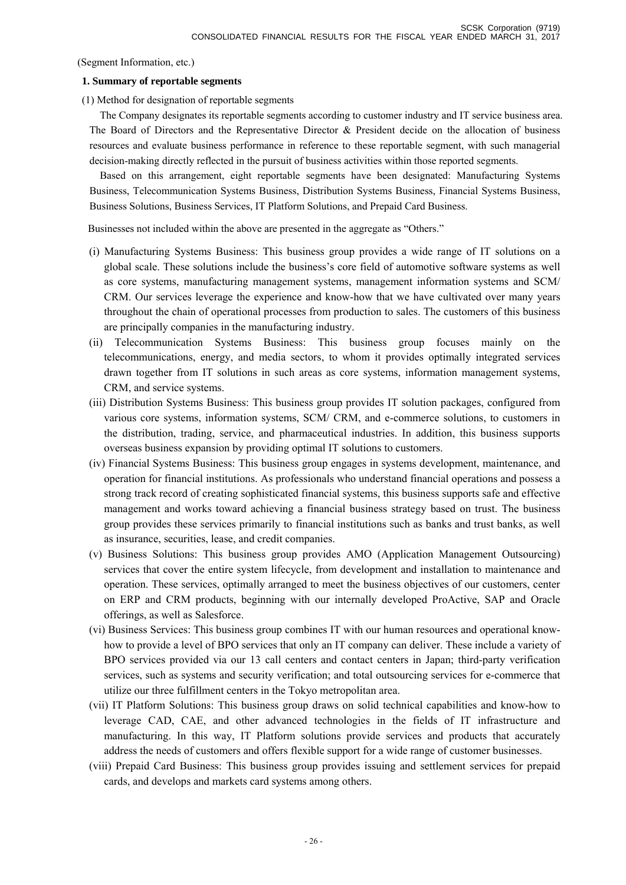(Segment Information, etc.)

### **1. Summary of reportable segments**

(1) Method for designation of reportable segments

The Company designates its reportable segments according to customer industry and IT service business area. The Board of Directors and the Representative Director & President decide on the allocation of business resources and evaluate business performance in reference to these reportable segment, with such managerial decision-making directly reflected in the pursuit of business activities within those reported segments.

Based on this arrangement, eight reportable segments have been designated: Manufacturing Systems Business, Telecommunication Systems Business, Distribution Systems Business, Financial Systems Business, Business Solutions, Business Services, IT Platform Solutions, and Prepaid Card Business.

Businesses not included within the above are presented in the aggregate as "Others."

- (i) Manufacturing Systems Business: This business group provides a wide range of IT solutions on a global scale. These solutions include the business's core field of automotive software systems as well as core systems, manufacturing management systems, management information systems and SCM/ CRM. Our services leverage the experience and know-how that we have cultivated over many years throughout the chain of operational processes from production to sales. The customers of this business are principally companies in the manufacturing industry.
- (ii) Telecommunication Systems Business: This business group focuses mainly on the telecommunications, energy, and media sectors, to whom it provides optimally integrated services drawn together from IT solutions in such areas as core systems, information management systems, CRM, and service systems.
- (iii) Distribution Systems Business: This business group provides IT solution packages, configured from various core systems, information systems, SCM/ CRM, and e-commerce solutions, to customers in the distribution, trading, service, and pharmaceutical industries. In addition, this business supports overseas business expansion by providing optimal IT solutions to customers.
- (iv) Financial Systems Business: This business group engages in systems development, maintenance, and operation for financial institutions. As professionals who understand financial operations and possess a strong track record of creating sophisticated financial systems, this business supports safe and effective management and works toward achieving a financial business strategy based on trust. The business group provides these services primarily to financial institutions such as banks and trust banks, as well as insurance, securities, lease, and credit companies.
- (v) Business Solutions: This business group provides AMO (Application Management Outsourcing) services that cover the entire system lifecycle, from development and installation to maintenance and operation. These services, optimally arranged to meet the business objectives of our customers, center on ERP and CRM products, beginning with our internally developed ProActive, SAP and Oracle offerings, as well as Salesforce.
- (vi) Business Services: This business group combines IT with our human resources and operational knowhow to provide a level of BPO services that only an IT company can deliver. These include a variety of BPO services provided via our 13 call centers and contact centers in Japan; third-party verification services, such as systems and security verification; and total outsourcing services for e-commerce that utilize our three fulfillment centers in the Tokyo metropolitan area.
- (vii) IT Platform Solutions: This business group draws on solid technical capabilities and know-how to leverage CAD, CAE, and other advanced technologies in the fields of IT infrastructure and manufacturing. In this way, IT Platform solutions provide services and products that accurately address the needs of customers and offers flexible support for a wide range of customer businesses.
- (viii) Prepaid Card Business: This business group provides issuing and settlement services for prepaid cards, and develops and markets card systems among others.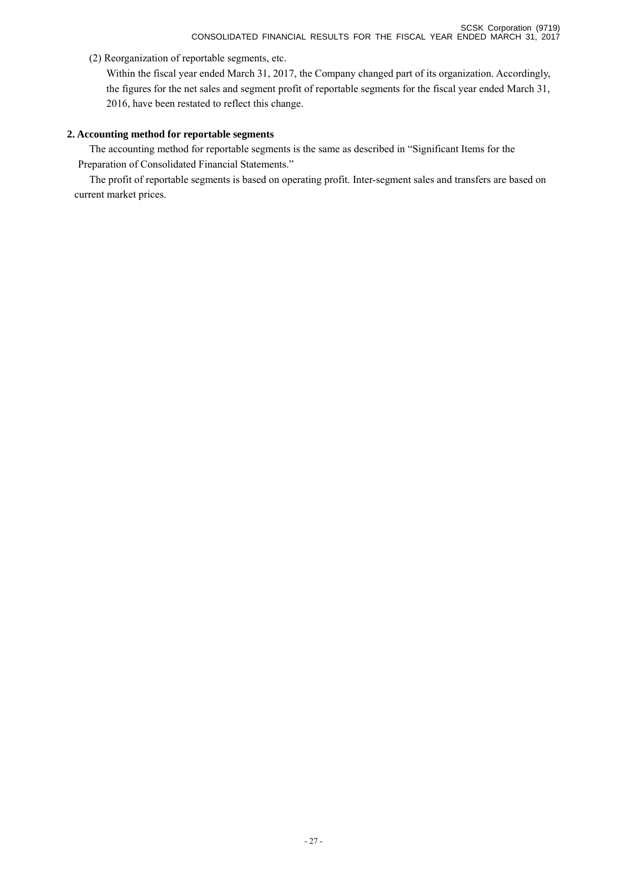(2) Reorganization of reportable segments, etc.

Within the fiscal year ended March 31, 2017, the Company changed part of its organization. Accordingly, the figures for the net sales and segment profit of reportable segments for the fiscal year ended March 31, 2016, have been restated to reflect this change.

# **2. Accounting method for reportable segments**

The accounting method for reportable segments is the same as described in "Significant Items for the Preparation of Consolidated Financial Statements."

The profit of reportable segments is based on operating profit. Inter-segment sales and transfers are based on current market prices.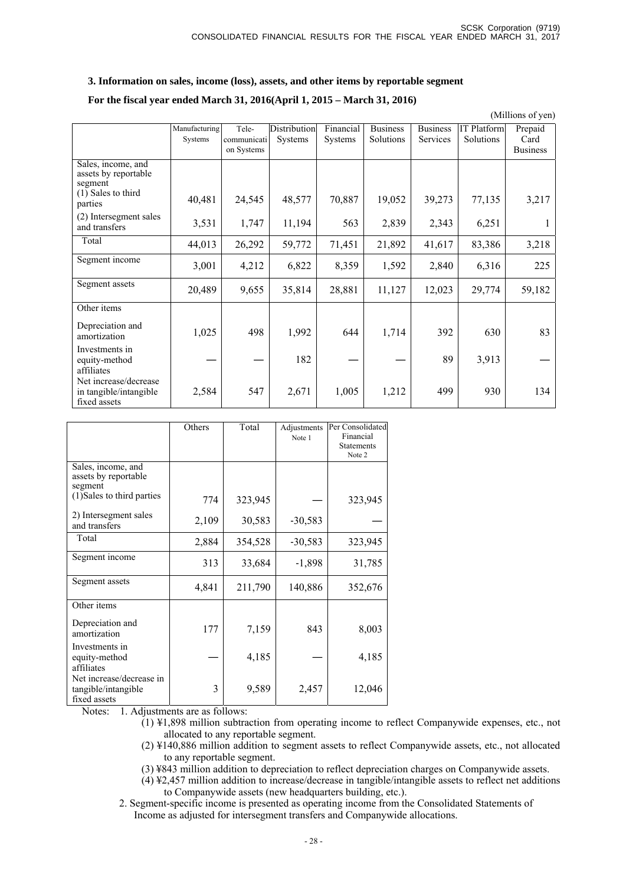### **3. Information on sales, income (loss), assets, and other items by reportable segment**

### **For the fiscal year ended March 31, 2016(April 1, 2015 – March 31, 2016)**

(Millions of yen)

|                                                                                        | Manufacturing<br>Systems | Tele-<br>communicati<br>on Systems | Distribution<br>Systems | Financial<br><b>Systems</b> | <b>Business</b><br>Solutions | <b>Business</b><br>Services | <b>IT Platform</b><br>Solutions | Prepaid<br>Card<br><b>Business</b> |
|----------------------------------------------------------------------------------------|--------------------------|------------------------------------|-------------------------|-----------------------------|------------------------------|-----------------------------|---------------------------------|------------------------------------|
| Sales, income, and<br>assets by reportable<br>segment<br>(1) Sales to third<br>parties | 40,481                   | 24,545                             | 48,577                  | 70,887                      | 19,052                       | 39,273                      | 77,135                          | 3,217                              |
| (2) Intersegment sales<br>and transfers                                                | 3,531                    | 1,747                              | 11,194                  | 563                         | 2,839                        | 2,343                       | 6,251                           | 1                                  |
| Total                                                                                  | 44,013                   | 26,292                             | 59,772                  | 71,451                      | 21,892                       | 41,617                      | 83,386                          | 3,218                              |
| Segment income                                                                         | 3,001                    | 4,212                              | 6,822                   | 8,359                       | 1,592                        | 2,840                       | 6,316                           | 225                                |
| Segment assets                                                                         | 20,489                   | 9,655                              | 35,814                  | 28,881                      | 11,127                       | 12,023                      | 29,774                          | 59,182                             |
| Other items                                                                            |                          |                                    |                         |                             |                              |                             |                                 |                                    |
| Depreciation and<br>amortization                                                       | 1,025                    | 498                                | 1,992                   | 644                         | 1,714                        | 392                         | 630                             | 83                                 |
| Investments in<br>equity-method<br>affiliates                                          |                          |                                    | 182                     |                             |                              | 89                          | 3,913                           |                                    |
| Net increase/decrease<br>in tangible/intangible<br>fixed assets                        | 2,584                    | 547                                | 2,671                   | 1,005                       | 1,212                        | 499                         | 930                             | 134                                |

|                                                                 | Others | Total   | Adjustments<br>Note 1 | Per Consolidated<br>Financial<br><b>Statements</b><br>Note 2 |
|-----------------------------------------------------------------|--------|---------|-----------------------|--------------------------------------------------------------|
| Sales, income, and<br>assets by reportable<br>segment           |        |         |                       |                                                              |
| (1) Sales to third parties                                      | 774    | 323,945 |                       | 323,945                                                      |
| 2) Intersegment sales<br>and transfers                          | 2,109  | 30,583  | $-30,583$             |                                                              |
| Total                                                           | 2,884  | 354,528 | $-30,583$             | 323,945                                                      |
| Segment income                                                  | 313    | 33,684  | $-1,898$              | 31,785                                                       |
| Segment assets                                                  | 4,841  | 211,790 | 140,886               | 352,676                                                      |
| Other items                                                     |        |         |                       |                                                              |
| Depreciation and<br>amortization                                | 177    | 7,159   | 843                   | 8,003                                                        |
| Investments in<br>equity-method<br>affiliates                   |        | 4,185   |                       | 4,185                                                        |
| Net increase/decrease in<br>tangible/intangible<br>fixed assets | 3      | 9,589   | 2,457                 | 12,046                                                       |

Notes: 1. Adjustments are as follows:

 $(1)$  ¥1,898 million subtraction from operating income to reflect Companywide expenses, etc., not allocated to any reportable segment.

(2) ¥140,886 million addition to segment assets to reflect Companywide assets, etc., not allocated to any reportable segment.

(3) ¥843 million addition to depreciation to reflect depreciation charges on Companywide assets.

(4) ¥2,457 million addition to increase/decrease in tangible/intangible assets to reflect net additions to Companywide assets (new headquarters building, etc.).

2. Segment-specific income is presented as operating income from the Consolidated Statements of Income as adjusted for intersegment transfers and Companywide allocations.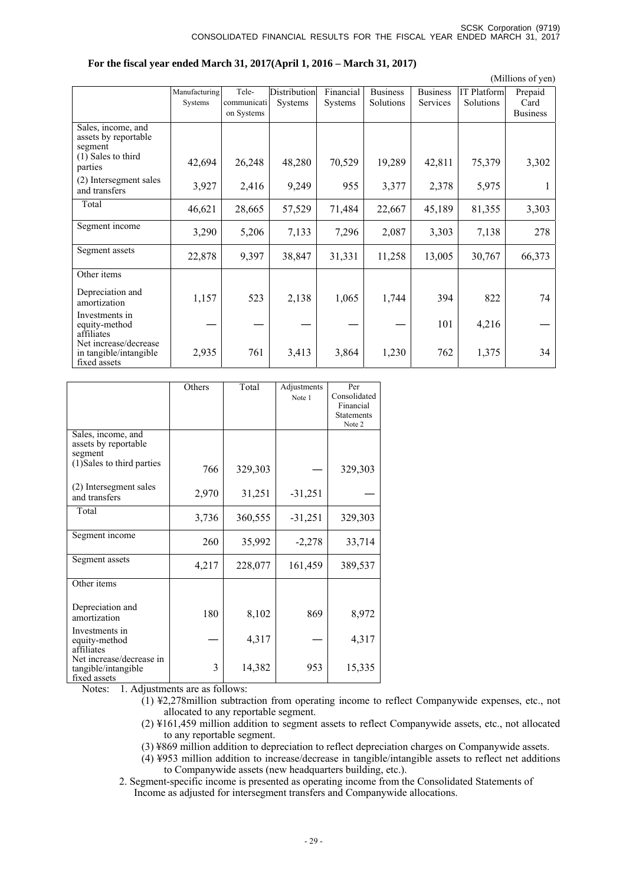(Millions of yen)

|                                                                                            |                                                                                                 |                                                                                           |                                                                                                          |                                                                                                |                                                                                                  | Prepaid                                                                                                  |
|--------------------------------------------------------------------------------------------|-------------------------------------------------------------------------------------------------|-------------------------------------------------------------------------------------------|----------------------------------------------------------------------------------------------------------|------------------------------------------------------------------------------------------------|--------------------------------------------------------------------------------------------------|----------------------------------------------------------------------------------------------------------|
|                                                                                            |                                                                                                 |                                                                                           |                                                                                                          |                                                                                                |                                                                                                  | Card                                                                                                     |
|                                                                                            |                                                                                                 |                                                                                           |                                                                                                          |                                                                                                |                                                                                                  | <b>Business</b>                                                                                          |
|                                                                                            |                                                                                                 |                                                                                           |                                                                                                          |                                                                                                |                                                                                                  |                                                                                                          |
|                                                                                            |                                                                                                 |                                                                                           |                                                                                                          |                                                                                                |                                                                                                  |                                                                                                          |
|                                                                                            |                                                                                                 |                                                                                           |                                                                                                          |                                                                                                |                                                                                                  |                                                                                                          |
|                                                                                            |                                                                                                 |                                                                                           |                                                                                                          |                                                                                                |                                                                                                  | 3,302                                                                                                    |
|                                                                                            |                                                                                                 |                                                                                           |                                                                                                          |                                                                                                |                                                                                                  |                                                                                                          |
|                                                                                            |                                                                                                 |                                                                                           |                                                                                                          |                                                                                                |                                                                                                  |                                                                                                          |
|                                                                                            |                                                                                                 |                                                                                           |                                                                                                          |                                                                                                |                                                                                                  |                                                                                                          |
|                                                                                            |                                                                                                 |                                                                                           |                                                                                                          |                                                                                                |                                                                                                  | 3,303                                                                                                    |
|                                                                                            |                                                                                                 |                                                                                           |                                                                                                          |                                                                                                |                                                                                                  |                                                                                                          |
|                                                                                            |                                                                                                 |                                                                                           |                                                                                                          |                                                                                                |                                                                                                  | 278                                                                                                      |
|                                                                                            |                                                                                                 |                                                                                           |                                                                                                          |                                                                                                |                                                                                                  |                                                                                                          |
|                                                                                            |                                                                                                 |                                                                                           |                                                                                                          |                                                                                                |                                                                                                  |                                                                                                          |
|                                                                                            |                                                                                                 |                                                                                           |                                                                                                          |                                                                                                |                                                                                                  | 66,373                                                                                                   |
|                                                                                            |                                                                                                 |                                                                                           |                                                                                                          |                                                                                                |                                                                                                  |                                                                                                          |
|                                                                                            |                                                                                                 |                                                                                           |                                                                                                          |                                                                                                |                                                                                                  |                                                                                                          |
|                                                                                            |                                                                                                 |                                                                                           |                                                                                                          |                                                                                                |                                                                                                  | 74                                                                                                       |
|                                                                                            |                                                                                                 |                                                                                           |                                                                                                          |                                                                                                |                                                                                                  |                                                                                                          |
|                                                                                            |                                                                                                 |                                                                                           |                                                                                                          |                                                                                                |                                                                                                  |                                                                                                          |
|                                                                                            |                                                                                                 |                                                                                           |                                                                                                          |                                                                                                |                                                                                                  |                                                                                                          |
|                                                                                            |                                                                                                 |                                                                                           |                                                                                                          |                                                                                                |                                                                                                  |                                                                                                          |
|                                                                                            |                                                                                                 |                                                                                           |                                                                                                          |                                                                                                |                                                                                                  | 34                                                                                                       |
|                                                                                            |                                                                                                 |                                                                                           |                                                                                                          |                                                                                                |                                                                                                  |                                                                                                          |
| Manufacturing<br>Systems<br>42,694<br>3,927<br>46,621<br>3,290<br>22,878<br>1,157<br>2,935 | Tele-<br>communicati<br>on Systems<br>26,248<br>2,416<br>28,665<br>5,206<br>9,397<br>523<br>761 | Distribution<br>Systems<br>48,280<br>9,249<br>57,529<br>7,133<br>38,847<br>2,138<br>3,413 | $\overline{\text{Financial}}$<br>Systems<br>70,529<br>955<br>71,484<br>7,296<br>31,331<br>1,065<br>3,864 | <b>Business</b><br>Solutions<br>19,289<br>3,377<br>22,667<br>2,087<br>11,258<br>1,744<br>1,230 | <b>Business</b><br>Services<br>42,811<br>2,378<br>45,189<br>3,303<br>13,005<br>394<br>101<br>762 | <b>IT Platform</b><br>Solutions<br>75,379<br>5,975<br>81,355<br>7,138<br>30,767<br>822<br>4,216<br>1,375 |

|  |  |  |  | For the fiscal year ended March 31, 2017(April 1, 2016 – March 31, 2017) |  |
|--|--|--|--|--------------------------------------------------------------------------|--|
|  |  |  |  |                                                                          |  |

|                                                                                                  | Others    | Total   | Adjustments<br>Note 1 | Per<br>Consolidated<br>Financial<br><b>Statements</b><br>Note 2 |
|--------------------------------------------------------------------------------------------------|-----------|---------|-----------------------|-----------------------------------------------------------------|
| Sales, income, and<br>assets by reportable<br>segment                                            |           |         |                       |                                                                 |
| (1) Sales to third parties                                                                       | 766       | 329,303 |                       | 329,303                                                         |
| (2) Intersegment sales<br>and transfers                                                          | 2,970     | 31,251  | $-31,251$             |                                                                 |
| Total                                                                                            | 3,736     | 360,555 | $-31,251$             | 329,303                                                         |
| Segment income                                                                                   | 260       | 35,992  | $-2,278$              | 33,714                                                          |
| Segment assets                                                                                   | 4,217     | 228,077 | 161,459               | 389,537                                                         |
| Other items                                                                                      |           |         |                       |                                                                 |
| Depreciation and<br>amortization                                                                 | 180       | 8,102   | 869                   | 8,972                                                           |
| Investments in<br>equity-method<br>affiliates                                                    |           | 4,317   |                       | 4,317                                                           |
| Net increase/decrease in<br>tangible/intangible<br>fixed assets<br>$\mathbf{A}$ and $\mathbf{A}$ | 3<br>0.11 | 14,382  | 953                   | 15,335                                                          |

Notes: 1. Adjustments are as follows:

- (1) ¥2,278million subtraction from operating income to reflect Companywide expenses, etc., not allocated to any reportable segment.
- (2) ¥161,459 million addition to segment assets to reflect Companywide assets, etc., not allocated to any reportable segment.
- (3) ¥869 million addition to depreciation to reflect depreciation charges on Companywide assets.
- (4) ¥953 million addition to increase/decrease in tangible/intangible assets to reflect net additions to Companywide assets (new headquarters building, etc.).

2. Segment-specific income is presented as operating income from the Consolidated Statements of Income as adjusted for intersegment transfers and Companywide allocations.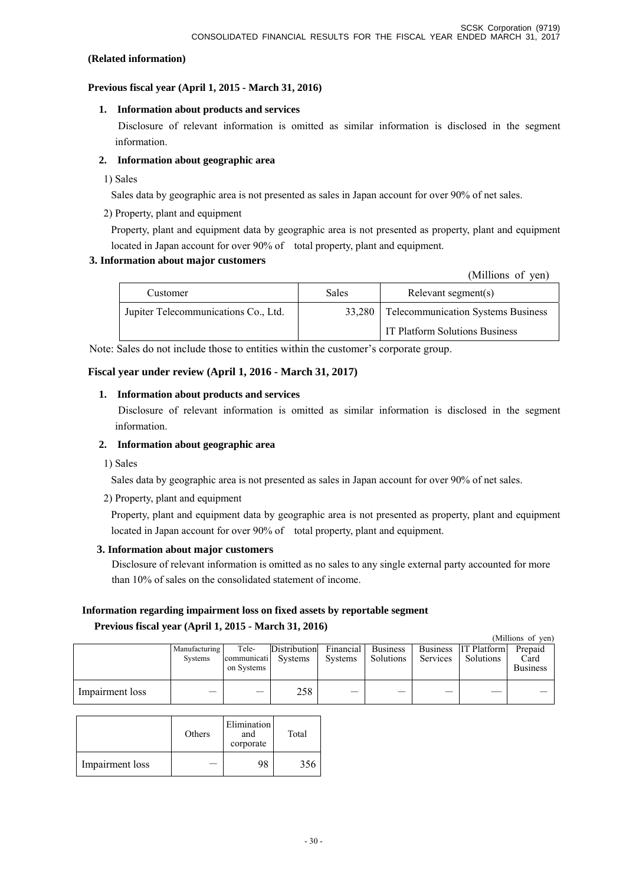## **(Related information)**

## **Previous fiscal year (April 1, 2015 - March 31, 2016)**

## **1. Information about products and services**

 Disclosure of relevant information is omitted as similar information is disclosed in the segment information.

# **2. Information about geographic area**

1) Sales

Sales data by geographic area is not presented as sales in Japan account for over 90% of net sales.

2) Property, plant and equipment

Property, plant and equipment data by geographic area is not presented as property, plant and equipment located in Japan account for over 90% of total property, plant and equipment.

## **3. Information about major customers**

(Millions of yen)

| Customer                             | Sales  | Relevant segment(s)                       |  |  |
|--------------------------------------|--------|-------------------------------------------|--|--|
| Jupiter Telecommunications Co., Ltd. | 33,280 | <b>Telecommunication Systems Business</b> |  |  |
|                                      |        | IT Platform Solutions Business            |  |  |

Note: Sales do not include those to entities within the customer's corporate group.

# **Fiscal year under review (April 1, 2016 - March 31, 2017)**

## **1. Information about products and services**

 Disclosure of relevant information is omitted as similar information is disclosed in the segment information.

## **2. Information about geographic area**

1) Sales

Sales data by geographic area is not presented as sales in Japan account for over 90% of net sales.

2) Property, plant and equipment

Property, plant and equipment data by geographic area is not presented as property, plant and equipment located in Japan account for over 90% of total property, plant and equipment.

### **3. Information about major customers**

Disclosure of relevant information is omitted as no sales to any single external party accounted for more than 10% of sales on the consolidated statement of income.

# **Information regarding impairment loss on fixed assets by reportable segment Previous fiscal year (April 1, 2015 - March 31, 2016)**

|                 |                          |                                            |                     |         |                                 |          |                                   | (Millions of yen)                  |
|-----------------|--------------------------|--------------------------------------------|---------------------|---------|---------------------------------|----------|-----------------------------------|------------------------------------|
|                 | Manufacturing<br>Systems | Tele-<br>communicati Systems<br>on Systems | <b>Distribution</b> | Systems | Financial Business<br>Solutions | Services | Business IT Platform<br>Solutions | Prepaid<br>Card<br><b>Business</b> |
| Impairment loss |                          |                                            | 258                 |         |                                 |          |                                   |                                    |

|                 | Others | Elimination<br>and<br>corporate | Total |
|-----------------|--------|---------------------------------|-------|
| Impairment loss |        | 98                              | 356   |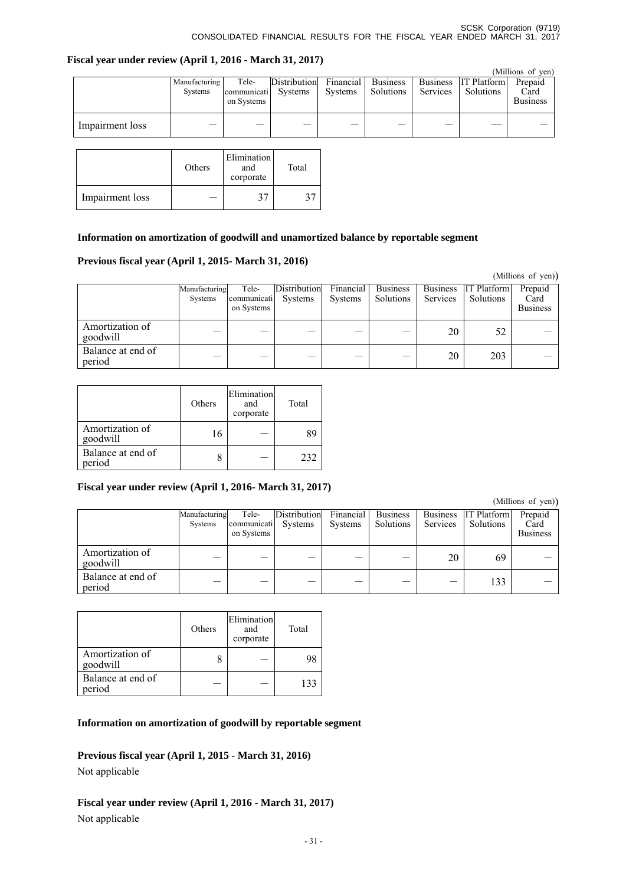### **Fiscal year under review (April 1, 2016 - March 31, 2017)**

|                 |                          |                                    |                         |                      |                              |                                    |                                 | (Millions of yen)                  |
|-----------------|--------------------------|------------------------------------|-------------------------|----------------------|------------------------------|------------------------------------|---------------------------------|------------------------------------|
|                 | Manufacturing<br>Systems | Tele-<br>communicati<br>on Systems | Distribution<br>Systems | Financial<br>Systems | <b>Business</b><br>Solutions | <b>Business</b><br><b>Services</b> | <b>IT Platform</b><br>Solutions | Prepaid<br>Card<br><b>Business</b> |
| Impairment loss |                          |                                    |                         |                      |                              |                                    |                                 |                                    |

|                 | Others | Elimination<br>and<br>corporate | Total |
|-----------------|--------|---------------------------------|-------|
| Impairment loss |        | 21                              |       |

# **Information on amortization of goodwill and unamortized balance by reportable segment**

# **Previous fiscal year (April 1, 2015- March 31, 2016)**

|                             |                          |                                    |                                |                      |                              |                                    |                                 | (Millions of yen))                 |
|-----------------------------|--------------------------|------------------------------------|--------------------------------|----------------------|------------------------------|------------------------------------|---------------------------------|------------------------------------|
|                             | Manufacturing<br>Systems | Tele-<br>communicati<br>on Systems | <b>Distribution</b><br>Systems | Financial<br>Systems | <b>Business</b><br>Solutions | <b>Business</b><br><b>Services</b> | <b>IT Platform</b><br>Solutions | Prepaid<br>Card<br><b>Business</b> |
| Amortization of<br>goodwill |                          |                                    |                                |                      |                              | 20                                 | 52                              |                                    |
| Balance at end of<br>period |                          |                                    |                                |                      |                              | 20                                 | 203                             |                                    |

|                             | Others | Elimination<br>and<br>corporate | Total |
|-----------------------------|--------|---------------------------------|-------|
| Amortization of<br>goodwill | 16     |                                 | 89    |
| Balance at end of<br>period |        |                                 | 232   |

# **Fiscal year under review (April 1, 2016- March 31, 2017)**

(Millions of yen))

|                             | Manufacturing<br>Systems | Tele-<br>communicati<br>on Systems | Distribution<br>Systems | Financial<br><b>Systems</b> | <b>Business</b><br>Solutions | <b>Business</b><br>Services | <b>IT Platform</b><br>Solutions | $\sim$ $\prime$ $\prime$<br>Prepaid<br>Card<br><b>Business</b> |
|-----------------------------|--------------------------|------------------------------------|-------------------------|-----------------------------|------------------------------|-----------------------------|---------------------------------|----------------------------------------------------------------|
| Amortization of<br>goodwill |                          |                                    |                         |                             |                              | 20                          | 69                              |                                                                |
| Balance at end of<br>period |                          |                                    |                         |                             |                              |                             | 133                             |                                                                |

|                             | Others | Elimination<br>and<br>corporate | Total |
|-----------------------------|--------|---------------------------------|-------|
| Amortization of<br>goodwill |        |                                 |       |
| Balance at end of<br>period |        |                                 | 133   |

# **Information on amortization of goodwill by reportable segment**

**Previous fiscal year (April 1, 2015 - March 31, 2016)** 

Not applicable

# **Fiscal year under review (April 1, 2016 - March 31, 2017)**  Not applicable